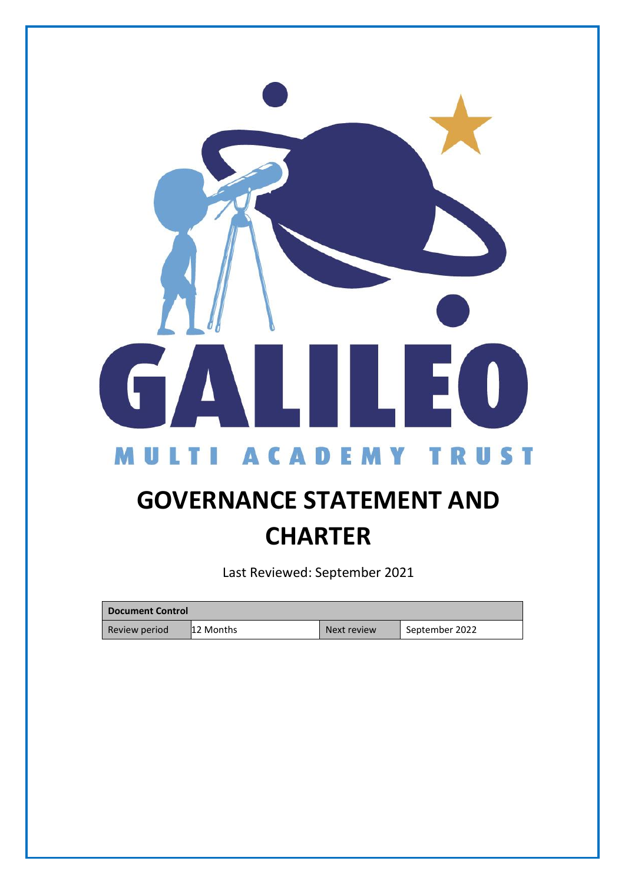

# **GOVERNANCE STATEMENT AND CHARTER**

Last Reviewed: September 2021

| <b>Document Control</b> |            |             |                |  |  |
|-------------------------|------------|-------------|----------------|--|--|
| Review period           | ¶12 Months | Next review | September 2022 |  |  |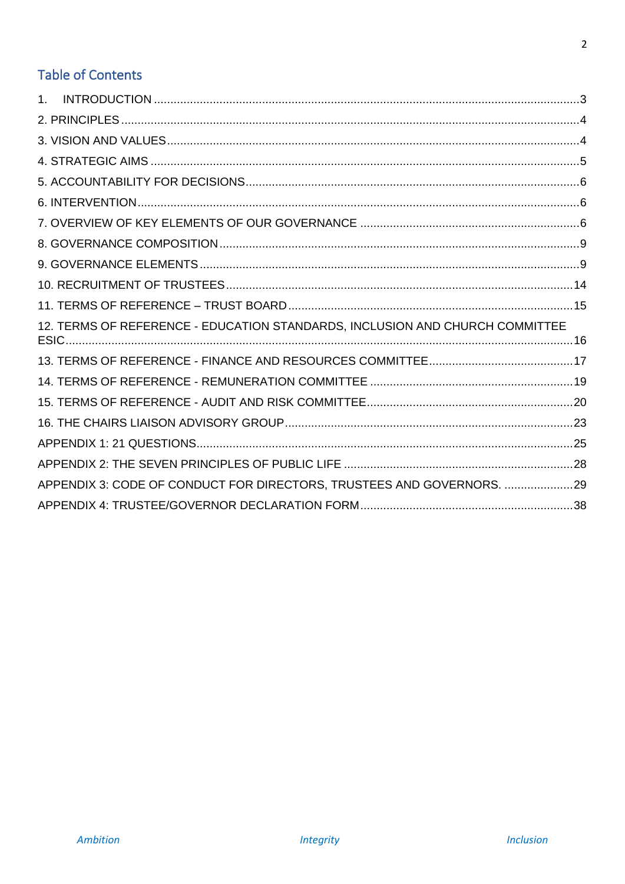# **Table of Contents**

| 1 <sup>1</sup>                                                               |  |
|------------------------------------------------------------------------------|--|
|                                                                              |  |
|                                                                              |  |
|                                                                              |  |
|                                                                              |  |
|                                                                              |  |
|                                                                              |  |
|                                                                              |  |
|                                                                              |  |
|                                                                              |  |
|                                                                              |  |
| 12. TERMS OF REFERENCE - EDUCATION STANDARDS, INCLUSION AND CHURCH COMMITTEE |  |
|                                                                              |  |
|                                                                              |  |
|                                                                              |  |
|                                                                              |  |
|                                                                              |  |
|                                                                              |  |
| APPENDIX 3: CODE OF CONDUCT FOR DIRECTORS, TRUSTEES AND GOVERNORS. 29        |  |
|                                                                              |  |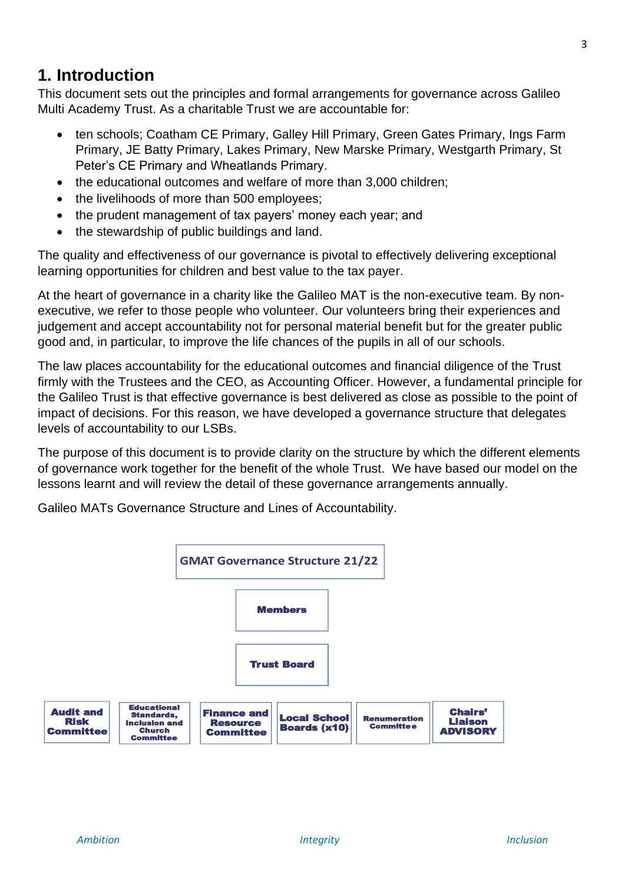# <span id="page-2-0"></span>**1. Introduction**

This document sets out the principles and formal arrangements for governance across Galileo Multi Academy Trust. As a charitable Trust we are accountable for:

- ten schools; Coatham CE Primary, Galley Hill Primary, Green Gates Primary, Ings Farm Primary, JE Batty Primary, Lakes Primary, New Marske Primary, Westgarth Primary, St Peter's CE Primary and Wheatlands Primary.
- the educational outcomes and welfare of more than 3,000 children:
- the livelihoods of more than 500 employees;
- the prudent management of tax payers' money each year; and
- the stewardship of public buildings and land.

The quality and effectiveness of our governance is pivotal to effectively delivering exceptional learning opportunities for children and best value to the tax payer.

At the heart of governance in a charity like the Galileo MAT is the non-executive team. By nonexecutive, we refer to those people who volunteer. Our volunteers bring their experiences and judgement and accept accountability not for personal material benefit but for the greater public good and, in particular, to improve the life chances of the pupils in all of our schools.

The law places accountability for the educational outcomes and financial diligence of the Trust firmly with the Trustees and the CEO, as Accounting Officer. However, a fundamental principle for the Galileo Trust is that effective governance is best delivered as close as possible to the point of impact of decisions. For this reason, we have developed a governance structure that delegates levels of accountability to our LSBs.

The purpose of this document is to provide clarity on the structure by which the different elements of governance work together for the benefit of the whole Trust. We have based our model on the lessons learnt and will review the detail of these governance arrangements annually.

Galileo MATs Governance Structure and Lines of Accountability.

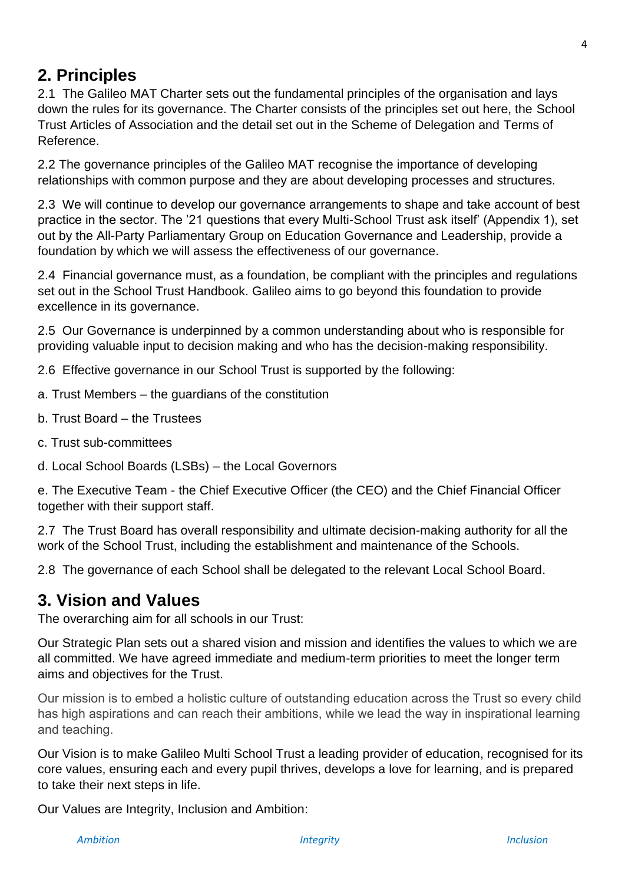# <span id="page-3-0"></span>**2. Principles**

2.1 The Galileo MAT Charter sets out the fundamental principles of the organisation and lays down the rules for its governance. The Charter consists of the principles set out here, the School Trust Articles of Association and the detail set out in the Scheme of Delegation and Terms of Reference.

2.2 The governance principles of the Galileo MAT recognise the importance of developing relationships with common purpose and they are about developing processes and structures.

2.3 We will continue to develop our governance arrangements to shape and take account of best practice in the sector. The '21 questions that every Multi-School Trust ask itself' (Appendix 1), set out by the All-Party Parliamentary Group on Education Governance and Leadership, provide a foundation by which we will assess the effectiveness of our governance.

2.4 Financial governance must, as a foundation, be compliant with the principles and regulations set out in the School Trust Handbook. Galileo aims to go beyond this foundation to provide excellence in its governance.

2.5 Our Governance is underpinned by a common understanding about who is responsible for providing valuable input to decision making and who has the decision-making responsibility.

2.6 Effective governance in our School Trust is supported by the following:

- a. Trust Members the guardians of the constitution
- b. Trust Board the Trustees
- c. Trust sub-committees
- d. Local School Boards (LSBs) the Local Governors

e. The Executive Team - the Chief Executive Officer (the CEO) and the Chief Financial Officer together with their support staff.

2.7 The Trust Board has overall responsibility and ultimate decision-making authority for all the work of the School Trust, including the establishment and maintenance of the Schools.

2.8 The governance of each School shall be delegated to the relevant Local School Board.

# <span id="page-3-1"></span>**3. Vision and Values**

The overarching aim for all schools in our Trust:

Our Strategic Plan sets out a shared vision and mission and identifies the values to which we are all committed. We have agreed immediate and medium-term priorities to meet the longer term aims and objectives for the Trust.

Our mission is to embed a holistic culture of outstanding education across the Trust so every child has high aspirations and can reach their ambitions, while we lead the way in inspirational learning and teaching.

Our Vision is to make Galileo Multi School Trust a leading provider of education, recognised for its core values, ensuring each and every pupil thrives, develops a love for learning, and is prepared to take their next steps in life.

Our Values are Integrity, Inclusion and Ambition: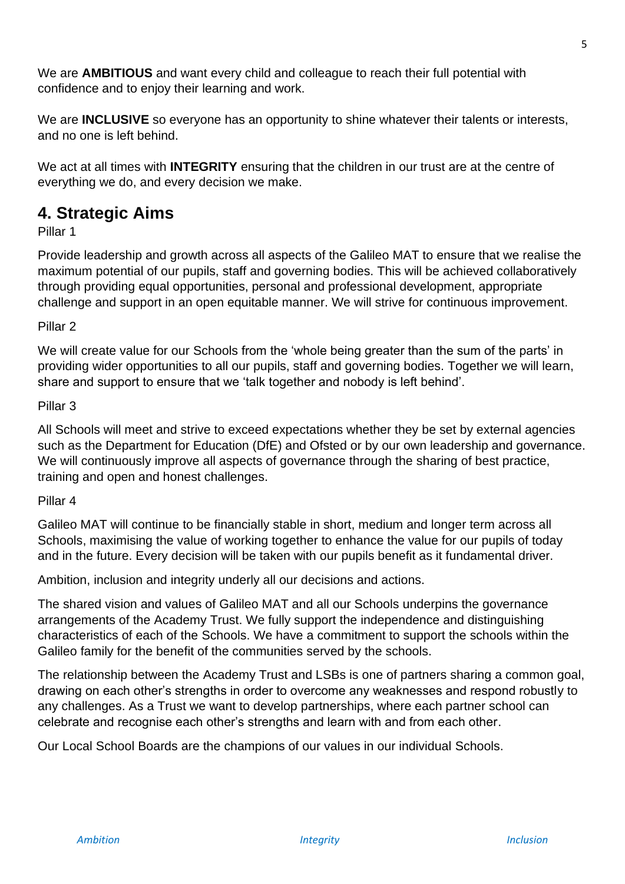We are **AMBITIOUS** and want every child and colleague to reach their full potential with confidence and to enjoy their learning and work.

We are **INCLUSIVE** so everyone has an opportunity to shine whatever their talents or interests, and no one is left behind.

We act at all times with **INTEGRITY** ensuring that the children in our trust are at the centre of everything we do, and every decision we make.

# <span id="page-4-0"></span>**4. Strategic Aims**

Pillar 1

Provide leadership and growth across all aspects of the Galileo MAT to ensure that we realise the maximum potential of our pupils, staff and governing bodies. This will be achieved collaboratively through providing equal opportunities, personal and professional development, appropriate challenge and support in an open equitable manner. We will strive for continuous improvement.

Pillar 2

We will create value for our Schools from the 'whole being greater than the sum of the parts' in providing wider opportunities to all our pupils, staff and governing bodies. Together we will learn, share and support to ensure that we 'talk together and nobody is left behind'.

Pillar 3

All Schools will meet and strive to exceed expectations whether they be set by external agencies such as the Department for Education (DfE) and Ofsted or by our own leadership and governance. We will continuously improve all aspects of governance through the sharing of best practice, training and open and honest challenges.

Pillar 4

Galileo MAT will continue to be financially stable in short, medium and longer term across all Schools, maximising the value of working together to enhance the value for our pupils of today and in the future. Every decision will be taken with our pupils benefit as it fundamental driver.

Ambition, inclusion and integrity underly all our decisions and actions.

The shared vision and values of Galileo MAT and all our Schools underpins the governance arrangements of the Academy Trust. We fully support the independence and distinguishing characteristics of each of the Schools. We have a commitment to support the schools within the Galileo family for the benefit of the communities served by the schools.

The relationship between the Academy Trust and LSBs is one of partners sharing a common goal, drawing on each other's strengths in order to overcome any weaknesses and respond robustly to any challenges. As a Trust we want to develop partnerships, where each partner school can celebrate and recognise each other's strengths and learn with and from each other.

Our Local School Boards are the champions of our values in our individual Schools.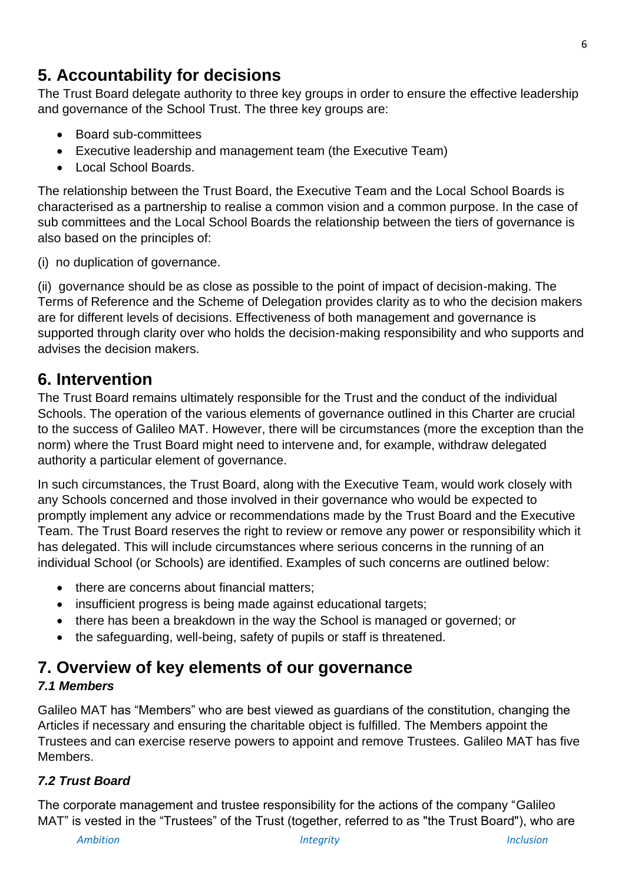# <span id="page-5-0"></span>**5. Accountability for decisions**

The Trust Board delegate authority to three key groups in order to ensure the effective leadership and governance of the School Trust. The three key groups are:

- Board sub-committees
- Executive leadership and management team (the Executive Team)
- Local School Boards.

The relationship between the Trust Board, the Executive Team and the Local School Boards is characterised as a partnership to realise a common vision and a common purpose. In the case of sub committees and the Local School Boards the relationship between the tiers of governance is also based on the principles of:

(i) no duplication of governance.

(ii) governance should be as close as possible to the point of impact of decision-making. The Terms of Reference and the Scheme of Delegation provides clarity as to who the decision makers are for different levels of decisions. Effectiveness of both management and governance is supported through clarity over who holds the decision-making responsibility and who supports and advises the decision makers.

# <span id="page-5-1"></span>**6. Intervention**

The Trust Board remains ultimately responsible for the Trust and the conduct of the individual Schools. The operation of the various elements of governance outlined in this Charter are crucial to the success of Galileo MAT. However, there will be circumstances (more the exception than the norm) where the Trust Board might need to intervene and, for example, withdraw delegated authority a particular element of governance.

In such circumstances, the Trust Board, along with the Executive Team, would work closely with any Schools concerned and those involved in their governance who would be expected to promptly implement any advice or recommendations made by the Trust Board and the Executive Team. The Trust Board reserves the right to review or remove any power or responsibility which it has delegated. This will include circumstances where serious concerns in the running of an individual School (or Schools) are identified. Examples of such concerns are outlined below:

- there are concerns about financial matters:
- insufficient progress is being made against educational targets;
- there has been a breakdown in the way the School is managed or governed; or
- the safeguarding, well-being, safety of pupils or staff is threatened.

# <span id="page-5-2"></span>**7. Overview of key elements of our governance**

# *7.1 Members*

Galileo MAT has "Members" who are best viewed as guardians of the constitution, changing the Articles if necessary and ensuring the charitable object is fulfilled. The Members appoint the Trustees and can exercise reserve powers to appoint and remove Trustees. Galileo MAT has five Members.

# *7.2 Trust Board*

The corporate management and trustee responsibility for the actions of the company "Galileo MAT" is vested in the "Trustees" of the Trust (together, referred to as "the Trust Board"), who are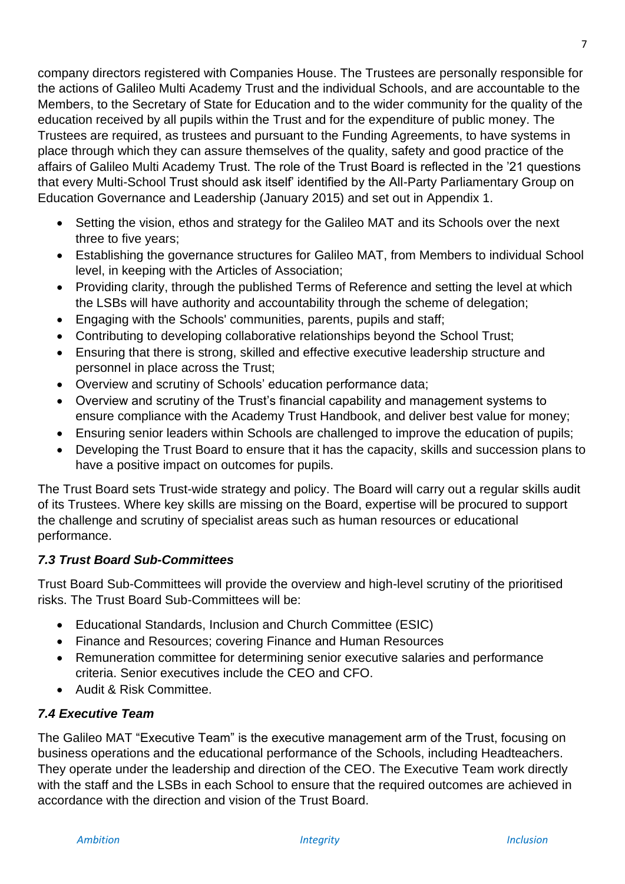company directors registered with Companies House. The Trustees are personally responsible for the actions of Galileo Multi Academy Trust and the individual Schools, and are accountable to the Members, to the Secretary of State for Education and to the wider community for the quality of the education received by all pupils within the Trust and for the expenditure of public money. The Trustees are required, as trustees and pursuant to the Funding Agreements, to have systems in place through which they can assure themselves of the quality, safety and good practice of the affairs of Galileo Multi Academy Trust. The role of the Trust Board is reflected in the '21 questions that every Multi-School Trust should ask itself' identified by the All-Party Parliamentary Group on Education Governance and Leadership (January 2015) and set out in Appendix 1.

- Setting the vision, ethos and strategy for the Galileo MAT and its Schools over the next three to five years;
- Establishing the governance structures for Galileo MAT, from Members to individual School level, in keeping with the Articles of Association;
- Providing clarity, through the published Terms of Reference and setting the level at which the LSBs will have authority and accountability through the scheme of delegation;
- Engaging with the Schools' communities, parents, pupils and staff;
- Contributing to developing collaborative relationships beyond the School Trust;
- Ensuring that there is strong, skilled and effective executive leadership structure and personnel in place across the Trust;
- Overview and scrutiny of Schools' education performance data;
- Overview and scrutiny of the Trust's financial capability and management systems to ensure compliance with the Academy Trust Handbook, and deliver best value for money;
- Ensuring senior leaders within Schools are challenged to improve the education of pupils;
- Developing the Trust Board to ensure that it has the capacity, skills and succession plans to have a positive impact on outcomes for pupils.

The Trust Board sets Trust-wide strategy and policy. The Board will carry out a regular skills audit of its Trustees. Where key skills are missing on the Board, expertise will be procured to support the challenge and scrutiny of specialist areas such as human resources or educational performance.

# *7.3 Trust Board Sub-Committees*

Trust Board Sub-Committees will provide the overview and high-level scrutiny of the prioritised risks. The Trust Board Sub-Committees will be:

- Educational Standards, Inclusion and Church Committee (ESIC)
- Finance and Resources; covering Finance and Human Resources
- Remuneration committee for determining senior executive salaries and performance criteria. Senior executives include the CEO and CFO.
- Audit & Risk Committee.

# *7.4 Executive Team*

The Galileo MAT "Executive Team" is the executive management arm of the Trust, focusing on business operations and the educational performance of the Schools, including Headteachers. They operate under the leadership and direction of the CEO. The Executive Team work directly with the staff and the LSBs in each School to ensure that the required outcomes are achieved in accordance with the direction and vision of the Trust Board.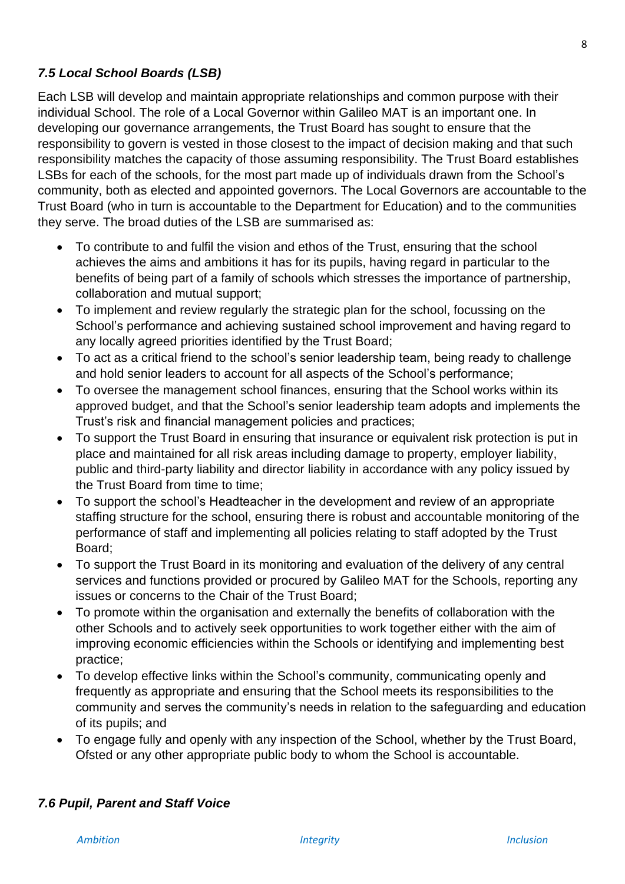# *7.5 Local School Boards (LSB)*

Each LSB will develop and maintain appropriate relationships and common purpose with their individual School. The role of a Local Governor within Galileo MAT is an important one. In developing our governance arrangements, the Trust Board has sought to ensure that the responsibility to govern is vested in those closest to the impact of decision making and that such responsibility matches the capacity of those assuming responsibility. The Trust Board establishes LSBs for each of the schools, for the most part made up of individuals drawn from the School's community, both as elected and appointed governors. The Local Governors are accountable to the Trust Board (who in turn is accountable to the Department for Education) and to the communities they serve. The broad duties of the LSB are summarised as:

- To contribute to and fulfil the vision and ethos of the Trust, ensuring that the school achieves the aims and ambitions it has for its pupils, having regard in particular to the benefits of being part of a family of schools which stresses the importance of partnership, collaboration and mutual support;
- To implement and review regularly the strategic plan for the school, focussing on the School's performance and achieving sustained school improvement and having regard to any locally agreed priorities identified by the Trust Board;
- To act as a critical friend to the school's senior leadership team, being ready to challenge and hold senior leaders to account for all aspects of the School's performance;
- To oversee the management school finances, ensuring that the School works within its approved budget, and that the School's senior leadership team adopts and implements the Trust's risk and financial management policies and practices;
- To support the Trust Board in ensuring that insurance or equivalent risk protection is put in place and maintained for all risk areas including damage to property, employer liability, public and third-party liability and director liability in accordance with any policy issued by the Trust Board from time to time;
- To support the school's Headteacher in the development and review of an appropriate staffing structure for the school, ensuring there is robust and accountable monitoring of the performance of staff and implementing all policies relating to staff adopted by the Trust Board;
- To support the Trust Board in its monitoring and evaluation of the delivery of any central services and functions provided or procured by Galileo MAT for the Schools, reporting any issues or concerns to the Chair of the Trust Board;
- To promote within the organisation and externally the benefits of collaboration with the other Schools and to actively seek opportunities to work together either with the aim of improving economic efficiencies within the Schools or identifying and implementing best practice;
- To develop effective links within the School's community, communicating openly and frequently as appropriate and ensuring that the School meets its responsibilities to the community and serves the community's needs in relation to the safeguarding and education of its pupils; and
- To engage fully and openly with any inspection of the School, whether by the Trust Board, Ofsted or any other appropriate public body to whom the School is accountable.

# *7.6 Pupil, Parent and Staff Voice*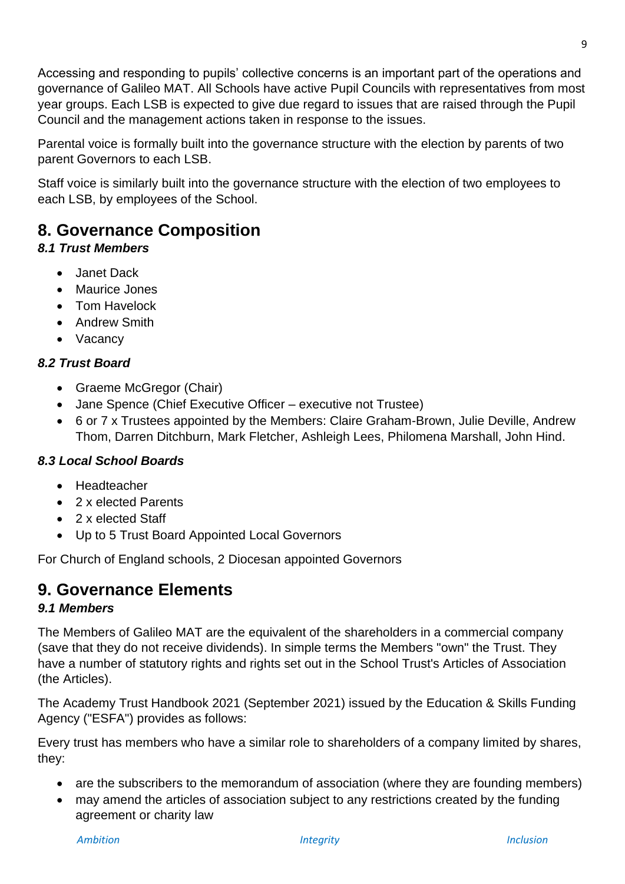Accessing and responding to pupils' collective concerns is an important part of the operations and governance of Galileo MAT. All Schools have active Pupil Councils with representatives from most year groups. Each LSB is expected to give due regard to issues that are raised through the Pupil Council and the management actions taken in response to the issues.

Parental voice is formally built into the governance structure with the election by parents of two parent Governors to each LSB.

Staff voice is similarly built into the governance structure with the election of two employees to each LSB, by employees of the School.

# <span id="page-8-0"></span>**8. Governance Composition**

# *8.1 Trust Members*

- Janet Dack
- Maurice Jones
- Tom Havelock
- Andrew Smith
- Vacancy

# *8.2 Trust Board*

- Graeme McGregor (Chair)
- Jane Spence (Chief Executive Officer executive not Trustee)
- 6 or 7 x Trustees appointed by the Members: Claire Graham-Brown, Julie Deville, Andrew Thom, Darren Ditchburn, Mark Fletcher, Ashleigh Lees, Philomena Marshall, John Hind.

# *8.3 Local School Boards*

- Headteacher
- 2 x elected Parents
- 2 x elected Staff
- <span id="page-8-1"></span>• Up to 5 Trust Board Appointed Local Governors

For Church of England schools, 2 Diocesan appointed Governors

# **9. Governance Elements**

# *9.1 Members*

The Members of Galileo MAT are the equivalent of the shareholders in a commercial company (save that they do not receive dividends). In simple terms the Members "own" the Trust. They have a number of statutory rights and rights set out in the School Trust's Articles of Association (the Articles).

The Academy Trust Handbook 2021 (September 2021) issued by the Education & Skills Funding Agency ("ESFA") provides as follows:

Every trust has members who have a similar role to shareholders of a company limited by shares, they:

- are the subscribers to the memorandum of association (where they are founding members)
- may amend the articles of association subject to any restrictions created by the funding agreement or charity law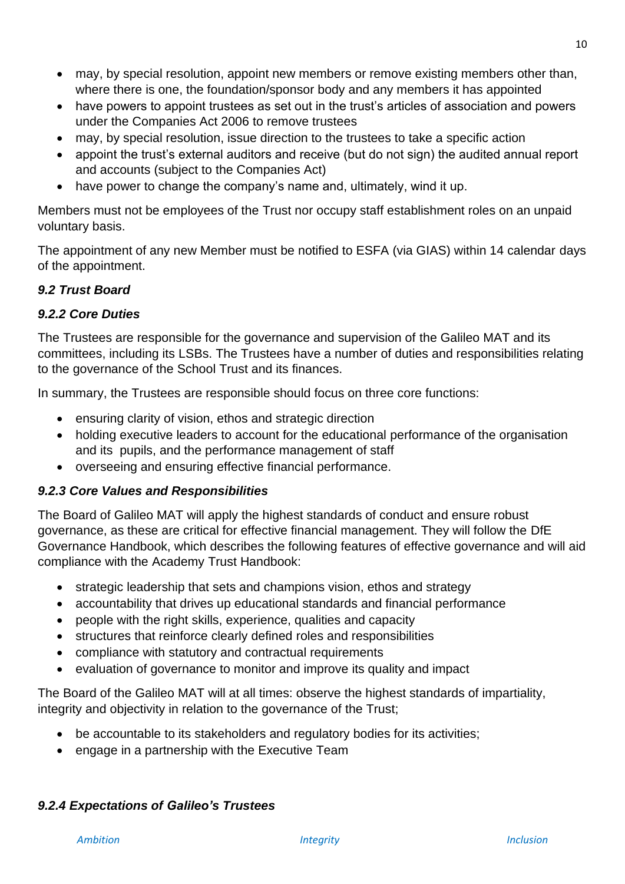- may, by special resolution, appoint new members or remove existing members other than. where there is one, the foundation/sponsor body and any members it has appointed
- have powers to appoint trustees as set out in the trust's articles of association and powers under the Companies Act 2006 to remove trustees
- may, by special resolution, issue direction to the trustees to take a specific action
- appoint the trust's external auditors and receive (but do not sign) the audited annual report and accounts (subject to the Companies Act)
- have power to change the company's name and, ultimately, wind it up.

Members must not be employees of the Trust nor occupy staff establishment roles on an unpaid voluntary basis.

The appointment of any new Member must be notified to ESFA (via GIAS) within 14 calendar days of the appointment.

# *9.2 Trust Board*

# *9.2.2 Core Duties*

The Trustees are responsible for the governance and supervision of the Galileo MAT and its committees, including its LSBs. The Trustees have a number of duties and responsibilities relating to the governance of the School Trust and its finances.

In summary, the Trustees are responsible should focus on three core functions:

- ensuring clarity of vision, ethos and strategic direction
- holding executive leaders to account for the educational performance of the organisation and its pupils, and the performance management of staff
- overseeing and ensuring effective financial performance.

# *9.2.3 Core Values and Responsibilities*

The Board of Galileo MAT will apply the highest standards of conduct and ensure robust governance, as these are critical for effective financial management. They will follow the DfE Governance Handbook, which describes the following features of effective governance and will aid compliance with the Academy Trust Handbook:

- strategic leadership that sets and champions vision, ethos and strategy
- accountability that drives up educational standards and financial performance
- people with the right skills, experience, qualities and capacity
- structures that reinforce clearly defined roles and responsibilities
- compliance with statutory and contractual requirements
- evaluation of governance to monitor and improve its quality and impact

The Board of the Galileo MAT will at all times: observe the highest standards of impartiality, integrity and objectivity in relation to the governance of the Trust;

- be accountable to its stakeholders and regulatory bodies for its activities;
- engage in a partnership with the Executive Team

# *9.2.4 Expectations of Galileo's Trustees*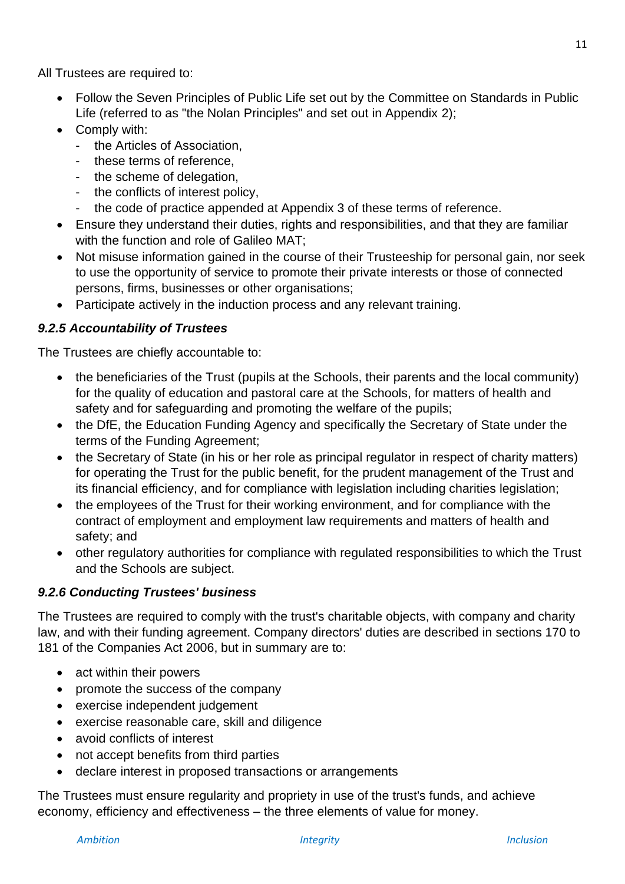All Trustees are required to:

- Follow the Seven Principles of Public Life set out by the Committee on Standards in Public Life (referred to as "the Nolan Principles" and set out in Appendix 2);
- Comply with:
	- the Articles of Association
	- these terms of reference,
	- the scheme of delegation,
	- the conflicts of interest policy,
	- the code of practice appended at Appendix 3 of these terms of reference.
- Ensure they understand their duties, rights and responsibilities, and that they are familiar with the function and role of Galileo MAT;
- Not misuse information gained in the course of their Trusteeship for personal gain, nor seek to use the opportunity of service to promote their private interests or those of connected persons, firms, businesses or other organisations;
- Participate actively in the induction process and any relevant training.

# *9.2.5 Accountability of Trustees*

The Trustees are chiefly accountable to:

- the beneficiaries of the Trust (pupils at the Schools, their parents and the local community) for the quality of education and pastoral care at the Schools, for matters of health and safety and for safeguarding and promoting the welfare of the pupils;
- the DfE, the Education Funding Agency and specifically the Secretary of State under the terms of the Funding Agreement;
- the Secretary of State (in his or her role as principal regulator in respect of charity matters) for operating the Trust for the public benefit, for the prudent management of the Trust and its financial efficiency, and for compliance with legislation including charities legislation;
- the employees of the Trust for their working environment, and for compliance with the contract of employment and employment law requirements and matters of health and safety; and
- other regulatory authorities for compliance with regulated responsibilities to which the Trust and the Schools are subject.

# *9.2.6 Conducting Trustees' business*

The Trustees are required to comply with the trust's charitable objects, with company and charity law, and with their funding agreement. Company directors' duties are described in sections 170 to 181 of the Companies Act 2006, but in summary are to:

- act within their powers
- promote the success of the company
- exercise independent judgement
- exercise reasonable care, skill and diligence
- avoid conflicts of interest
- not accept benefits from third parties
- declare interest in proposed transactions or arrangements

The Trustees must ensure regularity and propriety in use of the trust's funds, and achieve economy, efficiency and effectiveness – the three elements of value for money.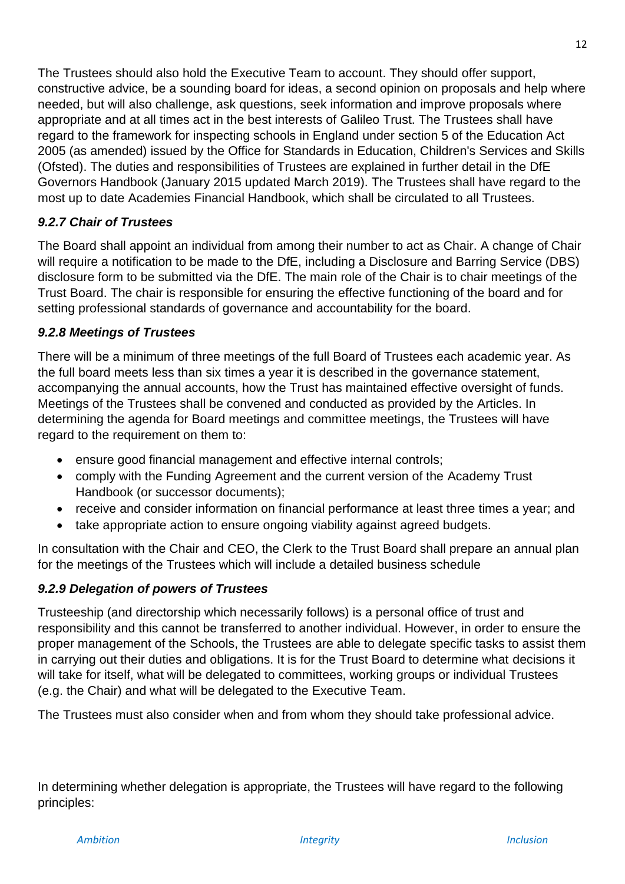The Trustees should also hold the Executive Team to account. They should offer support, constructive advice, be a sounding board for ideas, a second opinion on proposals and help where needed, but will also challenge, ask questions, seek information and improve proposals where appropriate and at all times act in the best interests of Galileo Trust. The Trustees shall have regard to the framework for inspecting schools in England under section 5 of the Education Act 2005 (as amended) issued by the Office for Standards in Education, Children's Services and Skills (Ofsted). The duties and responsibilities of Trustees are explained in further detail in the DfE Governors Handbook (January 2015 updated March 2019). The Trustees shall have regard to the most up to date Academies Financial Handbook, which shall be circulated to all Trustees.

# *9.2.7 Chair of Trustees*

The Board shall appoint an individual from among their number to act as Chair. A change of Chair will require a notification to be made to the DfE, including a Disclosure and Barring Service (DBS) disclosure form to be submitted via the DfE. The main role of the Chair is to chair meetings of the Trust Board. The chair is responsible for ensuring the effective functioning of the board and for setting professional standards of governance and accountability for the board.

# *9.2.8 Meetings of Trustees*

There will be a minimum of three meetings of the full Board of Trustees each academic year. As the full board meets less than six times a year it is described in the governance statement, accompanying the annual accounts, how the Trust has maintained effective oversight of funds. Meetings of the Trustees shall be convened and conducted as provided by the Articles. In determining the agenda for Board meetings and committee meetings, the Trustees will have regard to the requirement on them to:

- ensure good financial management and effective internal controls;
- comply with the Funding Agreement and the current version of the Academy Trust Handbook (or successor documents);
- receive and consider information on financial performance at least three times a year; and
- take appropriate action to ensure ongoing viability against agreed budgets.

In consultation with the Chair and CEO, the Clerk to the Trust Board shall prepare an annual plan for the meetings of the Trustees which will include a detailed business schedule

# *9.2.9 Delegation of powers of Trustees*

Trusteeship (and directorship which necessarily follows) is a personal office of trust and responsibility and this cannot be transferred to another individual. However, in order to ensure the proper management of the Schools, the Trustees are able to delegate specific tasks to assist them in carrying out their duties and obligations. It is for the Trust Board to determine what decisions it will take for itself, what will be delegated to committees, working groups or individual Trustees (e.g. the Chair) and what will be delegated to the Executive Team.

The Trustees must also consider when and from whom they should take professional advice.

In determining whether delegation is appropriate, the Trustees will have regard to the following principles: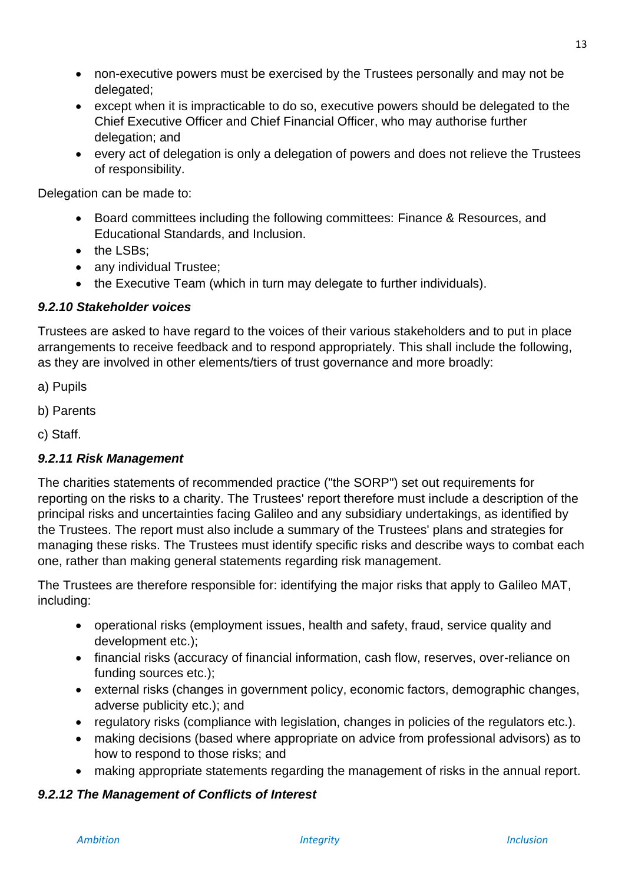- non-executive powers must be exercised by the Trustees personally and may not be delegated;
- except when it is impracticable to do so, executive powers should be delegated to the Chief Executive Officer and Chief Financial Officer, who may authorise further delegation; and
- every act of delegation is only a delegation of powers and does not relieve the Trustees of responsibility.

Delegation can be made to:

- Board committees including the following committees: Finance & Resources, and Educational Standards, and Inclusion.
- the LSBs:
- any individual Trustee;
- the Executive Team (which in turn may delegate to further individuals).

#### *9.2.10 Stakeholder voices*

Trustees are asked to have regard to the voices of their various stakeholders and to put in place arrangements to receive feedback and to respond appropriately. This shall include the following, as they are involved in other elements/tiers of trust governance and more broadly:

- a) Pupils
- b) Parents
- c) Staff.

#### *9.2.11 Risk Management*

The charities statements of recommended practice ("the SORP") set out requirements for reporting on the risks to a charity. The Trustees' report therefore must include a description of the principal risks and uncertainties facing Galileo and any subsidiary undertakings, as identified by the Trustees. The report must also include a summary of the Trustees' plans and strategies for managing these risks. The Trustees must identify specific risks and describe ways to combat each one, rather than making general statements regarding risk management.

The Trustees are therefore responsible for: identifying the major risks that apply to Galileo MAT, including:

- operational risks (employment issues, health and safety, fraud, service quality and development etc.);
- financial risks (accuracy of financial information, cash flow, reserves, over-reliance on funding sources etc.);
- external risks (changes in government policy, economic factors, demographic changes, adverse publicity etc.); and
- regulatory risks (compliance with legislation, changes in policies of the regulators etc.).
- making decisions (based where appropriate on advice from professional advisors) as to how to respond to those risks; and
- making appropriate statements regarding the management of risks in the annual report.

#### *9.2.12 The Management of Conflicts of Interest*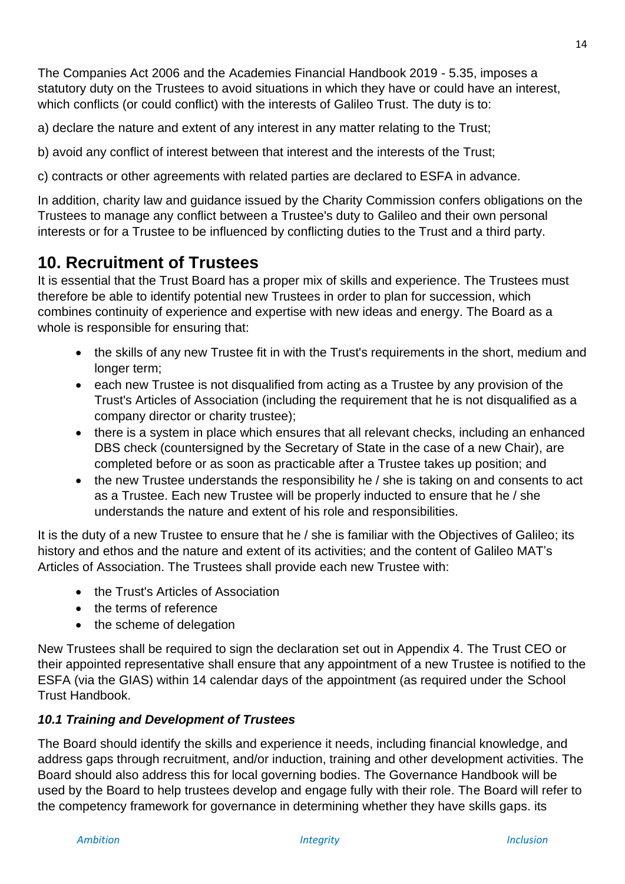14

The Companies Act 2006 and the Academies Financial Handbook 2019 - 5.35, imposes a statutory duty on the Trustees to avoid situations in which they have or could have an interest, which conflicts (or could conflict) with the interests of Galileo Trust. The duty is to:

a) declare the nature and extent of any interest in any matter relating to the Trust;

b) avoid any conflict of interest between that interest and the interests of the Trust;

c) contracts or other agreements with related parties are declared to ESFA in advance.

In addition, charity law and guidance issued by the Charity Commission confers obligations on the Trustees to manage any conflict between a Trustee's duty to Galileo and their own personal interests or for a Trustee to be influenced by conflicting duties to the Trust and a third party.

# <span id="page-13-0"></span>**10. Recruitment of Trustees**

It is essential that the Trust Board has a proper mix of skills and experience. The Trustees must therefore be able to identify potential new Trustees in order to plan for succession, which combines continuity of experience and expertise with new ideas and energy. The Board as a whole is responsible for ensuring that:

- the skills of any new Trustee fit in with the Trust's requirements in the short, medium and longer term;
- each new Trustee is not disqualified from acting as a Trustee by any provision of the Trust's Articles of Association (including the requirement that he is not disqualified as a company director or charity trustee);
- there is a system in place which ensures that all relevant checks, including an enhanced DBS check (countersigned by the Secretary of State in the case of a new Chair), are completed before or as soon as practicable after a Trustee takes up position; and
- the new Trustee understands the responsibility he / she is taking on and consents to act as a Trustee. Each new Trustee will be properly inducted to ensure that he / she understands the nature and extent of his role and responsibilities.

It is the duty of a new Trustee to ensure that he / she is familiar with the Objectives of Galileo; its history and ethos and the nature and extent of its activities; and the content of Galileo MAT's Articles of Association. The Trustees shall provide each new Trustee with:

- the Trust's Articles of Association
- the terms of reference
- the scheme of delegation

New Trustees shall be required to sign the declaration set out in Appendix 4. The Trust CEO or their appointed representative shall ensure that any appointment of a new Trustee is notified to the ESFA (via the GIAS) within 14 calendar days of the appointment (as required under the School Trust Handbook.

# *10.1 Training and Development of Trustees*

The Board should identify the skills and experience it needs, including financial knowledge, and address gaps through recruitment, and/or induction, training and other development activities. The Board should also address this for local governing bodies. The Governance Handbook will be used by the Board to help trustees develop and engage fully with their role. The Board will refer to the competency framework for governance in determining whether they have skills gaps. its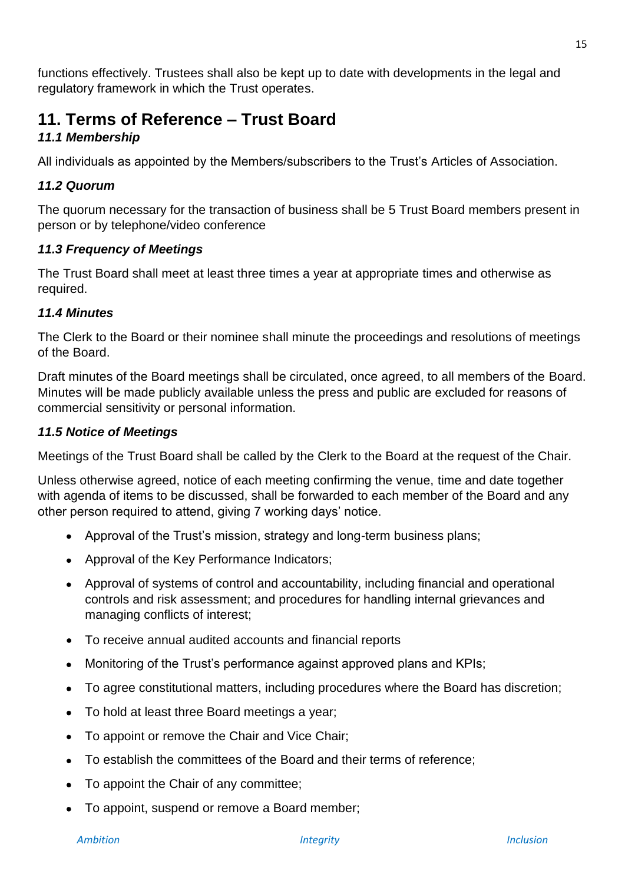functions effectively. Trustees shall also be kept up to date with developments in the legal and regulatory framework in which the Trust operates.

# <span id="page-14-0"></span>**11. Terms of Reference – Trust Board**

# *11.1 Membership*

All individuals as appointed by the Members/subscribers to the Trust's Articles of Association.

# *11.2 Quorum*

The quorum necessary for the transaction of business shall be 5 Trust Board members present in person or by telephone/video conference

# *11.3 Frequency of Meetings*

The Trust Board shall meet at least three times a year at appropriate times and otherwise as required.

# *11.4 Minutes*

The Clerk to the Board or their nominee shall minute the proceedings and resolutions of meetings of the Board.

Draft minutes of the Board meetings shall be circulated, once agreed, to all members of the Board. Minutes will be made publicly available unless the press and public are excluded for reasons of commercial sensitivity or personal information.

# *11.5 Notice of Meetings*

Meetings of the Trust Board shall be called by the Clerk to the Board at the request of the Chair.

Unless otherwise agreed, notice of each meeting confirming the venue, time and date together with agenda of items to be discussed, shall be forwarded to each member of the Board and any other person required to attend, giving 7 working days' notice.

- Approval of the Trust's mission, strategy and long-term business plans;
- Approval of the Key Performance Indicators;
- Approval of systems of control and accountability, including financial and operational controls and risk assessment; and procedures for handling internal grievances and managing conflicts of interest;
- To receive annual audited accounts and financial reports
- Monitoring of the Trust's performance against approved plans and KPIs;
- To agree constitutional matters, including procedures where the Board has discretion;
- To hold at least three Board meetings a year;
- To appoint or remove the Chair and Vice Chair;
- To establish the committees of the Board and their terms of reference;
- To appoint the Chair of any committee;
- To appoint, suspend or remove a Board member;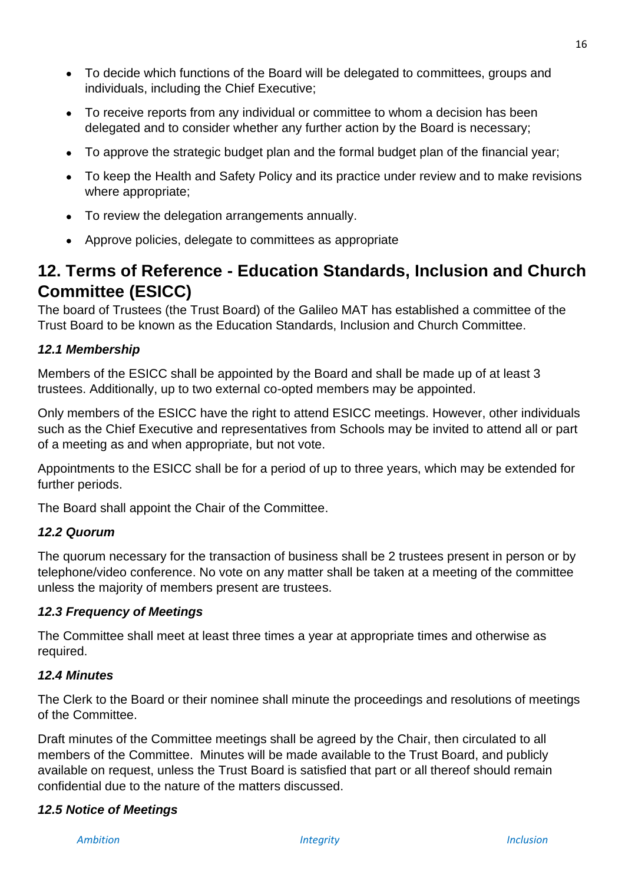- To decide which functions of the Board will be delegated to committees, groups and individuals, including the Chief Executive;
- To receive reports from any individual or committee to whom a decision has been delegated and to consider whether any further action by the Board is necessary;
- To approve the strategic budget plan and the formal budget plan of the financial year;
- To keep the Health and Safety Policy and its practice under review and to make revisions where appropriate;
- To review the delegation arrangements annually.
- <span id="page-15-0"></span>• Approve policies, delegate to committees as appropriate

# **12. Terms of Reference - Education Standards, Inclusion and Church Committee (ESICC)**

The board of Trustees (the Trust Board) of the Galileo MAT has established a committee of the Trust Board to be known as the Education Standards, Inclusion and Church Committee.

# *12.1 Membership*

Members of the ESICC shall be appointed by the Board and shall be made up of at least 3 trustees. Additionally, up to two external co-opted members may be appointed.

Only members of the ESICC have the right to attend ESICC meetings. However, other individuals such as the Chief Executive and representatives from Schools may be invited to attend all or part of a meeting as and when appropriate, but not vote.

Appointments to the ESICC shall be for a period of up to three years, which may be extended for further periods.

The Board shall appoint the Chair of the Committee.

# *12.2 Quorum*

The quorum necessary for the transaction of business shall be 2 trustees present in person or by telephone/video conference. No vote on any matter shall be taken at a meeting of the committee unless the majority of members present are trustees.

# *12.3 Frequency of Meetings*

The Committee shall meet at least three times a year at appropriate times and otherwise as required.

# *12.4 Minutes*

The Clerk to the Board or their nominee shall minute the proceedings and resolutions of meetings of the Committee.

Draft minutes of the Committee meetings shall be agreed by the Chair, then circulated to all members of the Committee. Minutes will be made available to the Trust Board, and publicly available on request, unless the Trust Board is satisfied that part or all thereof should remain confidential due to the nature of the matters discussed.

# *12.5 Notice of Meetings*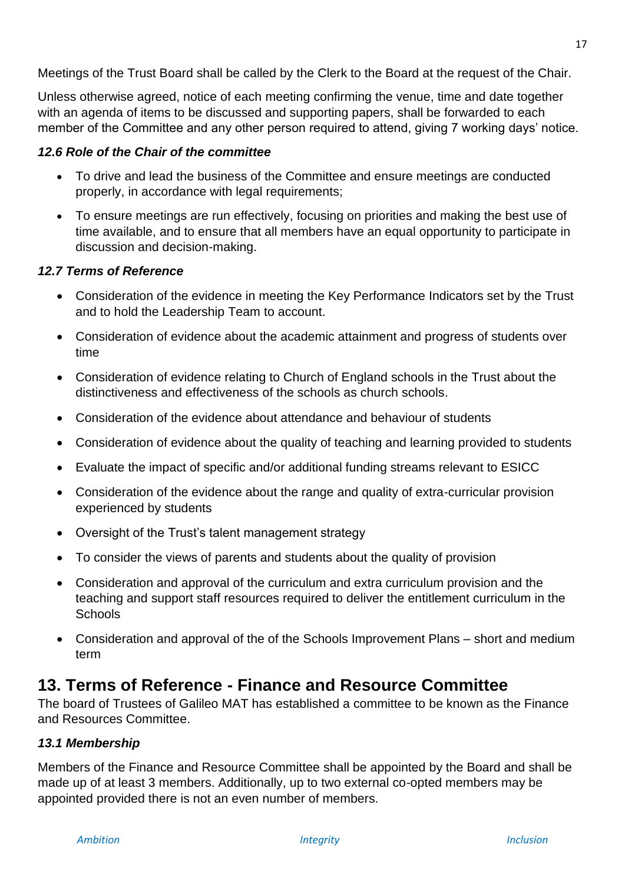Meetings of the Trust Board shall be called by the Clerk to the Board at the request of the Chair.

Unless otherwise agreed, notice of each meeting confirming the venue, time and date together with an agenda of items to be discussed and supporting papers, shall be forwarded to each member of the Committee and any other person required to attend, giving 7 working days' notice.

#### *12.6 Role of the Chair of the committee*

- To drive and lead the business of the Committee and ensure meetings are conducted properly, in accordance with legal requirements;
- To ensure meetings are run effectively, focusing on priorities and making the best use of time available, and to ensure that all members have an equal opportunity to participate in discussion and decision-making.

#### *12.7 Terms of Reference*

- Consideration of the evidence in meeting the Key Performance Indicators set by the Trust and to hold the Leadership Team to account.
- Consideration of evidence about the academic attainment and progress of students over time
- Consideration of evidence relating to Church of England schools in the Trust about the distinctiveness and effectiveness of the schools as church schools.
- Consideration of the evidence about attendance and behaviour of students
- Consideration of evidence about the quality of teaching and learning provided to students
- Evaluate the impact of specific and/or additional funding streams relevant to ESICC
- Consideration of the evidence about the range and quality of extra-curricular provision experienced by students
- Oversight of the Trust's talent management strategy
- To consider the views of parents and students about the quality of provision
- Consideration and approval of the curriculum and extra curriculum provision and the teaching and support staff resources required to deliver the entitlement curriculum in the **Schools**
- Consideration and approval of the of the Schools Improvement Plans short and medium term

# <span id="page-16-0"></span>**13. Terms of Reference - Finance and Resource Committee**

The board of Trustees of Galileo MAT has established a committee to be known as the Finance and Resources Committee.

# *13.1 Membership*

Members of the Finance and Resource Committee shall be appointed by the Board and shall be made up of at least 3 members. Additionally, up to two external co-opted members may be appointed provided there is not an even number of members.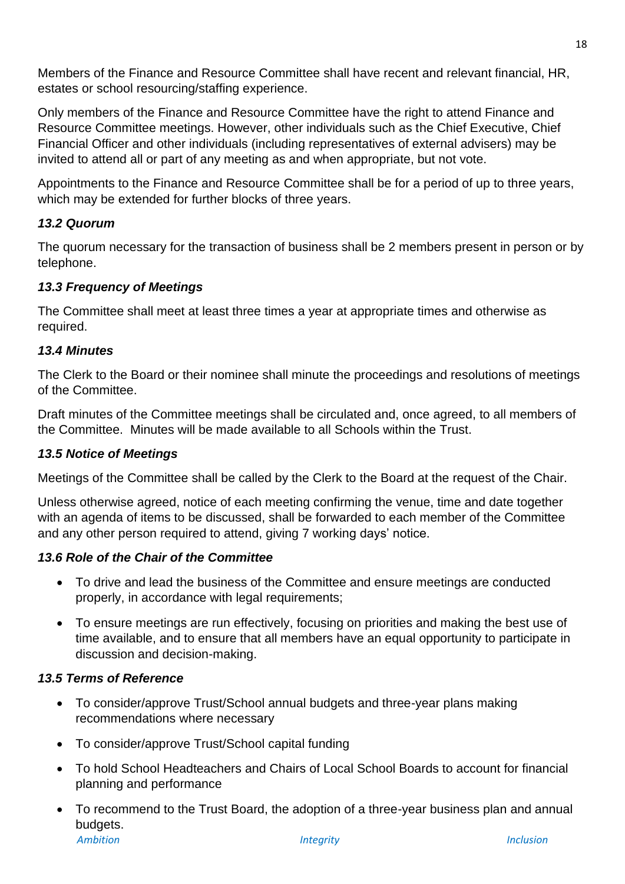Members of the Finance and Resource Committee shall have recent and relevant financial, HR, estates or school resourcing/staffing experience.

Only members of the Finance and Resource Committee have the right to attend Finance and Resource Committee meetings. However, other individuals such as the Chief Executive, Chief Financial Officer and other individuals (including representatives of external advisers) may be invited to attend all or part of any meeting as and when appropriate, but not vote.

Appointments to the Finance and Resource Committee shall be for a period of up to three years, which may be extended for further blocks of three years.

# *13.2 Quorum*

The quorum necessary for the transaction of business shall be 2 members present in person or by telephone.

# *13.3 Frequency of Meetings*

The Committee shall meet at least three times a year at appropriate times and otherwise as required.

# *13.4 Minutes*

The Clerk to the Board or their nominee shall minute the proceedings and resolutions of meetings of the Committee.

Draft minutes of the Committee meetings shall be circulated and, once agreed, to all members of the Committee. Minutes will be made available to all Schools within the Trust.

# *13.5 Notice of Meetings*

Meetings of the Committee shall be called by the Clerk to the Board at the request of the Chair.

Unless otherwise agreed, notice of each meeting confirming the venue, time and date together with an agenda of items to be discussed, shall be forwarded to each member of the Committee and any other person required to attend, giving 7 working days' notice.

# *13.6 Role of the Chair of the Committee*

- To drive and lead the business of the Committee and ensure meetings are conducted properly, in accordance with legal requirements;
- To ensure meetings are run effectively, focusing on priorities and making the best use of time available, and to ensure that all members have an equal opportunity to participate in discussion and decision-making.

# *13.5 Terms of Reference*

- To consider/approve Trust/School annual budgets and three-year plans making recommendations where necessary
- To consider/approve Trust/School capital funding
- To hold School Headteachers and Chairs of Local School Boards to account for financial planning and performance
- *Ambition Integrity Inclusion* • To recommend to the Trust Board, the adoption of a three-year business plan and annual budgets.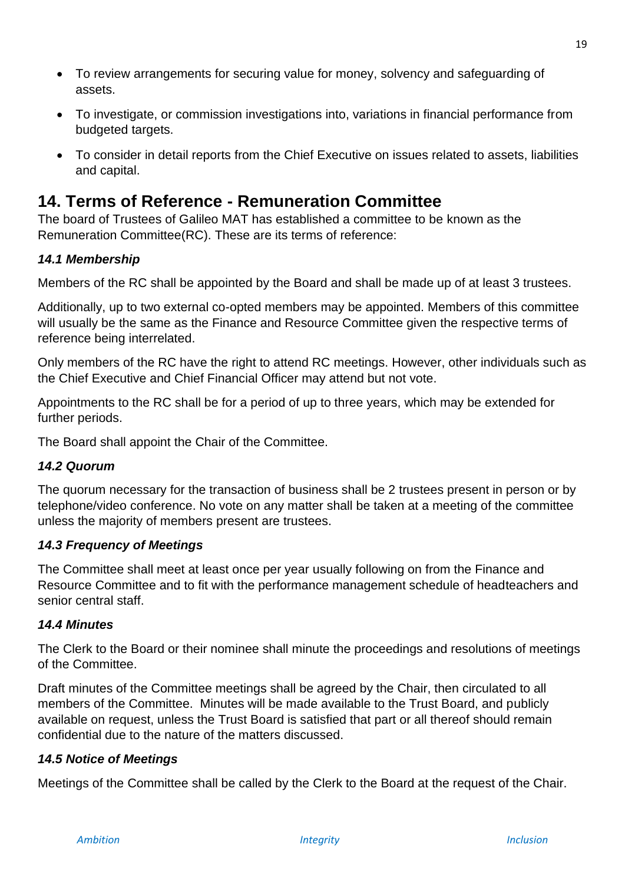- To review arrangements for securing value for money, solvency and safeguarding of assets.
- To investigate, or commission investigations into, variations in financial performance from budgeted targets.
- <span id="page-18-0"></span>• To consider in detail reports from the Chief Executive on issues related to assets, liabilities and capital.

# **14. Terms of Reference - Remuneration Committee**

The board of Trustees of Galileo MAT has established a committee to be known as the Remuneration Committee(RC). These are its terms of reference:

# *14.1 Membership*

Members of the RC shall be appointed by the Board and shall be made up of at least 3 trustees.

Additionally, up to two external co-opted members may be appointed. Members of this committee will usually be the same as the Finance and Resource Committee given the respective terms of reference being interrelated.

Only members of the RC have the right to attend RC meetings. However, other individuals such as the Chief Executive and Chief Financial Officer may attend but not vote.

Appointments to the RC shall be for a period of up to three years, which may be extended for further periods.

The Board shall appoint the Chair of the Committee.

# *14.2 Quorum*

The quorum necessary for the transaction of business shall be 2 trustees present in person or by telephone/video conference. No vote on any matter shall be taken at a meeting of the committee unless the majority of members present are trustees.

# *14.3 Frequency of Meetings*

The Committee shall meet at least once per year usually following on from the Finance and Resource Committee and to fit with the performance management schedule of headteachers and senior central staff.

#### *14.4 Minutes*

The Clerk to the Board or their nominee shall minute the proceedings and resolutions of meetings of the Committee.

Draft minutes of the Committee meetings shall be agreed by the Chair, then circulated to all members of the Committee. Minutes will be made available to the Trust Board, and publicly available on request, unless the Trust Board is satisfied that part or all thereof should remain confidential due to the nature of the matters discussed.

#### *14.5 Notice of Meetings*

Meetings of the Committee shall be called by the Clerk to the Board at the request of the Chair.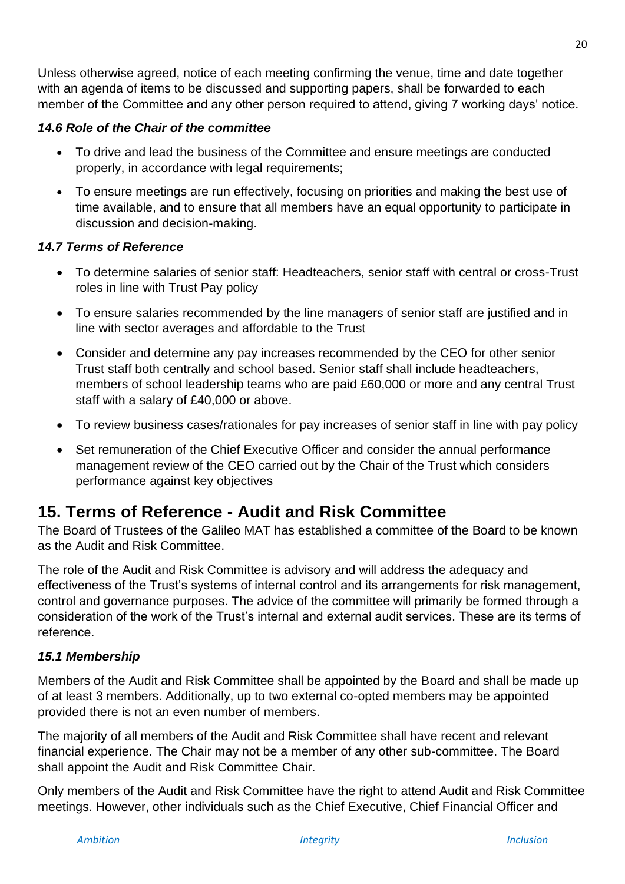Unless otherwise agreed, notice of each meeting confirming the venue, time and date together with an agenda of items to be discussed and supporting papers, shall be forwarded to each member of the Committee and any other person required to attend, giving 7 working days' notice.

#### *14.6 Role of the Chair of the committee*

- To drive and lead the business of the Committee and ensure meetings are conducted properly, in accordance with legal requirements;
- To ensure meetings are run effectively, focusing on priorities and making the best use of time available, and to ensure that all members have an equal opportunity to participate in discussion and decision-making.

#### *14.7 Terms of Reference*

- To determine salaries of senior staff: Headteachers, senior staff with central or cross-Trust roles in line with Trust Pay policy
- To ensure salaries recommended by the line managers of senior staff are justified and in line with sector averages and affordable to the Trust
- Consider and determine any pay increases recommended by the CEO for other senior Trust staff both centrally and school based. Senior staff shall include headteachers, members of school leadership teams who are paid £60,000 or more and any central Trust staff with a salary of £40,000 or above.
- To review business cases/rationales for pay increases of senior staff in line with pay policy
- Set remuneration of the Chief Executive Officer and consider the annual performance management review of the CEO carried out by the Chair of the Trust which considers performance against key objectives

# <span id="page-19-0"></span>**15. Terms of Reference - Audit and Risk Committee**

The Board of Trustees of the Galileo MAT has established a committee of the Board to be known as the Audit and Risk Committee.

The role of the Audit and Risk Committee is advisory and will address the adequacy and effectiveness of the Trust's systems of internal control and its arrangements for risk management, control and governance purposes. The advice of the committee will primarily be formed through a consideration of the work of the Trust's internal and external audit services. These are its terms of reference.

# *15.1 Membership*

Members of the Audit and Risk Committee shall be appointed by the Board and shall be made up of at least 3 members. Additionally, up to two external co-opted members may be appointed provided there is not an even number of members.

The majority of all members of the Audit and Risk Committee shall have recent and relevant financial experience. The Chair may not be a member of any other sub-committee. The Board shall appoint the Audit and Risk Committee Chair.

Only members of the Audit and Risk Committee have the right to attend Audit and Risk Committee meetings. However, other individuals such as the Chief Executive, Chief Financial Officer and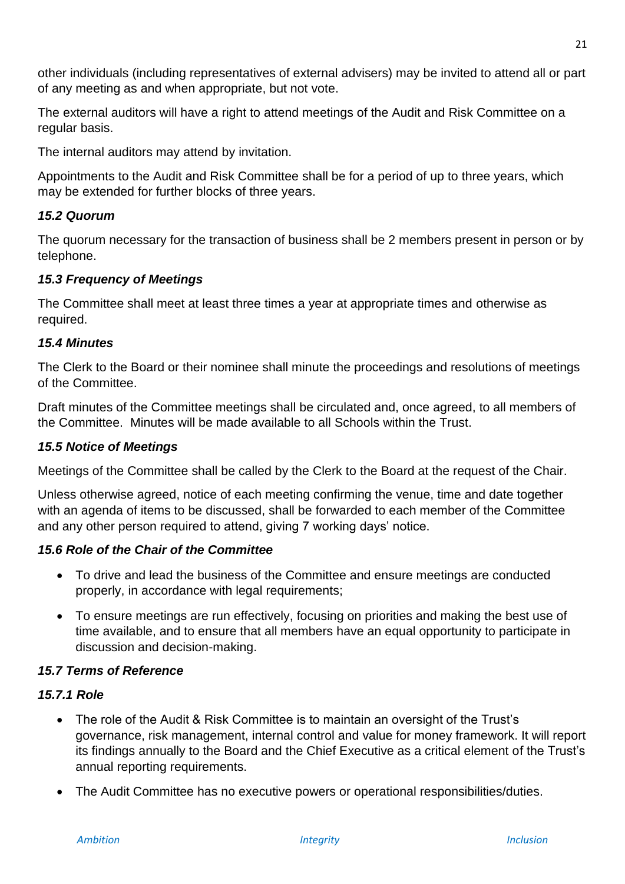other individuals (including representatives of external advisers) may be invited to attend all or part of any meeting as and when appropriate, but not vote.

The external auditors will have a right to attend meetings of the Audit and Risk Committee on a regular basis.

The internal auditors may attend by invitation.

Appointments to the Audit and Risk Committee shall be for a period of up to three years, which may be extended for further blocks of three years.

#### *15.2 Quorum*

The quorum necessary for the transaction of business shall be 2 members present in person or by telephone.

#### *15.3 Frequency of Meetings*

The Committee shall meet at least three times a year at appropriate times and otherwise as required.

#### *15.4 Minutes*

The Clerk to the Board or their nominee shall minute the proceedings and resolutions of meetings of the Committee.

Draft minutes of the Committee meetings shall be circulated and, once agreed, to all members of the Committee. Minutes will be made available to all Schools within the Trust.

#### *15.5 Notice of Meetings*

Meetings of the Committee shall be called by the Clerk to the Board at the request of the Chair.

Unless otherwise agreed, notice of each meeting confirming the venue, time and date together with an agenda of items to be discussed, shall be forwarded to each member of the Committee and any other person required to attend, giving 7 working days' notice.

#### *15.6 Role of the Chair of the Committee*

- To drive and lead the business of the Committee and ensure meetings are conducted properly, in accordance with legal requirements;
- To ensure meetings are run effectively, focusing on priorities and making the best use of time available, and to ensure that all members have an equal opportunity to participate in discussion and decision-making.

#### *15.7 Terms of Reference*

#### *15.7.1 Role*

- The role of the Audit & Risk Committee is to maintain an oversight of the Trust's governance, risk management, internal control and value for money framework. It will report its findings annually to the Board and the Chief Executive as a critical element of the Trust's annual reporting requirements.
- The Audit Committee has no executive powers or operational responsibilities/duties.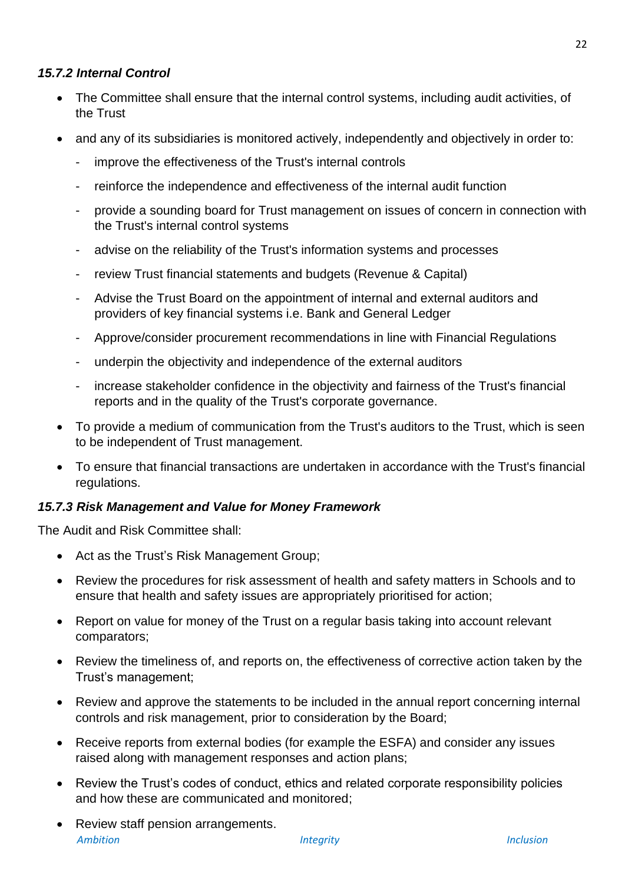#### *15.7.2 Internal Control*

- The Committee shall ensure that the internal control systems, including audit activities, of the Trust
- and any of its subsidiaries is monitored actively, independently and objectively in order to:
	- improve the effectiveness of the Trust's internal controls
	- reinforce the independence and effectiveness of the internal audit function
	- provide a sounding board for Trust management on issues of concern in connection with the Trust's internal control systems
	- advise on the reliability of the Trust's information systems and processes
	- review Trust financial statements and budgets (Revenue & Capital)
	- Advise the Trust Board on the appointment of internal and external auditors and providers of key financial systems i.e. Bank and General Ledger
	- Approve/consider procurement recommendations in line with Financial Regulations
	- underpin the objectivity and independence of the external auditors
	- increase stakeholder confidence in the objectivity and fairness of the Trust's financial reports and in the quality of the Trust's corporate governance.
- To provide a medium of communication from the Trust's auditors to the Trust, which is seen to be independent of Trust management.
- To ensure that financial transactions are undertaken in accordance with the Trust's financial regulations.

#### *15.7.3 Risk Management and Value for Money Framework*

The Audit and Risk Committee shall:

- Act as the Trust's Risk Management Group;
- Review the procedures for risk assessment of health and safety matters in Schools and to ensure that health and safety issues are appropriately prioritised for action;
- Report on value for money of the Trust on a regular basis taking into account relevant comparators;
- Review the timeliness of, and reports on, the effectiveness of corrective action taken by the Trust's management;
- Review and approve the statements to be included in the annual report concerning internal controls and risk management, prior to consideration by the Board;
- Receive reports from external bodies (for example the ESFA) and consider any issues raised along with management responses and action plans;
- Review the Trust's codes of conduct, ethics and related corporate responsibility policies and how these are communicated and monitored;
- *Ambition Integrity Inclusion* • Review staff pension arrangements.

 $22$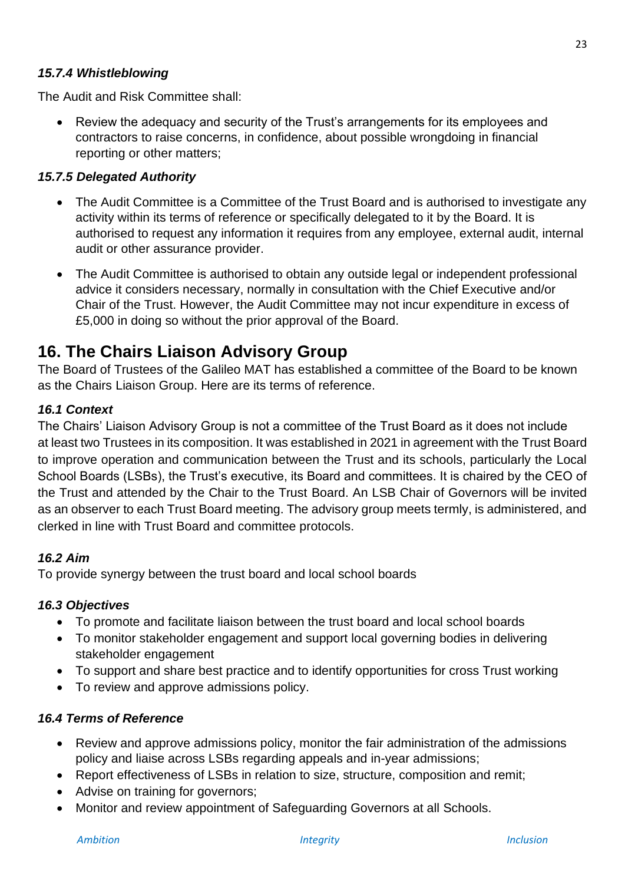#### *15.7.4 Whistleblowing*

The Audit and Risk Committee shall:

• Review the adequacy and security of the Trust's arrangements for its employees and contractors to raise concerns, in confidence, about possible wrongdoing in financial reporting or other matters;

#### *15.7.5 Delegated Authority*

- The Audit Committee is a Committee of the Trust Board and is authorised to investigate any activity within its terms of reference or specifically delegated to it by the Board. It is authorised to request any information it requires from any employee, external audit, internal audit or other assurance provider.
- The Audit Committee is authorised to obtain any outside legal or independent professional advice it considers necessary, normally in consultation with the Chief Executive and/or Chair of the Trust. However, the Audit Committee may not incur expenditure in excess of £5,000 in doing so without the prior approval of the Board.

# <span id="page-22-0"></span>**16. The Chairs Liaison Advisory Group**

The Board of Trustees of the Galileo MAT has established a committee of the Board to be known as the Chairs Liaison Group. Here are its terms of reference.

#### *16.1 Context*

The Chairs' Liaison Advisory Group is not a committee of the Trust Board as it does not include at least two Trustees in its composition. It was established in 2021 in agreement with the Trust Board to improve operation and communication between the Trust and its schools, particularly the Local School Boards (LSBs), the Trust's executive, its Board and committees. It is chaired by the CEO of the Trust and attended by the Chair to the Trust Board. An LSB Chair of Governors will be invited as an observer to each Trust Board meeting. The advisory group meets termly, is administered, and clerked in line with Trust Board and committee protocols.

#### *16.2 Aim*

To provide synergy between the trust board and local school boards

#### *16.3 Objectives*

- To promote and facilitate liaison between the trust board and local school boards
- To monitor stakeholder engagement and support local governing bodies in delivering stakeholder engagement
- To support and share best practice and to identify opportunities for cross Trust working
- To review and approve admissions policy.

#### *16.4 Terms of Reference*

- Review and approve admissions policy, monitor the fair administration of the admissions policy and liaise across LSBs regarding appeals and in-year admissions;
- Report effectiveness of LSBs in relation to size, structure, composition and remit:
- Advise on training for governors:
- Monitor and review appointment of Safeguarding Governors at all Schools.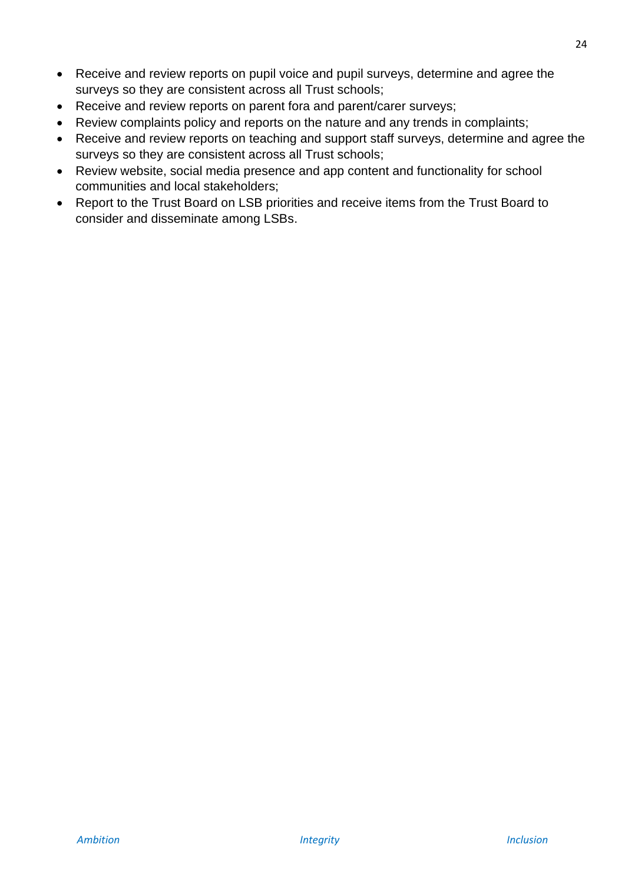- Receive and review reports on pupil voice and pupil surveys, determine and agree the surveys so they are consistent across all Trust schools;
- Receive and review reports on parent fora and parent/carer surveys;
- Review complaints policy and reports on the nature and any trends in complaints;
- Receive and review reports on teaching and support staff surveys, determine and agree the surveys so they are consistent across all Trust schools;
- Review website, social media presence and app content and functionality for school communities and local stakeholders;
- <span id="page-23-0"></span>• Report to the Trust Board on LSB priorities and receive items from the Trust Board to consider and disseminate among LSBs.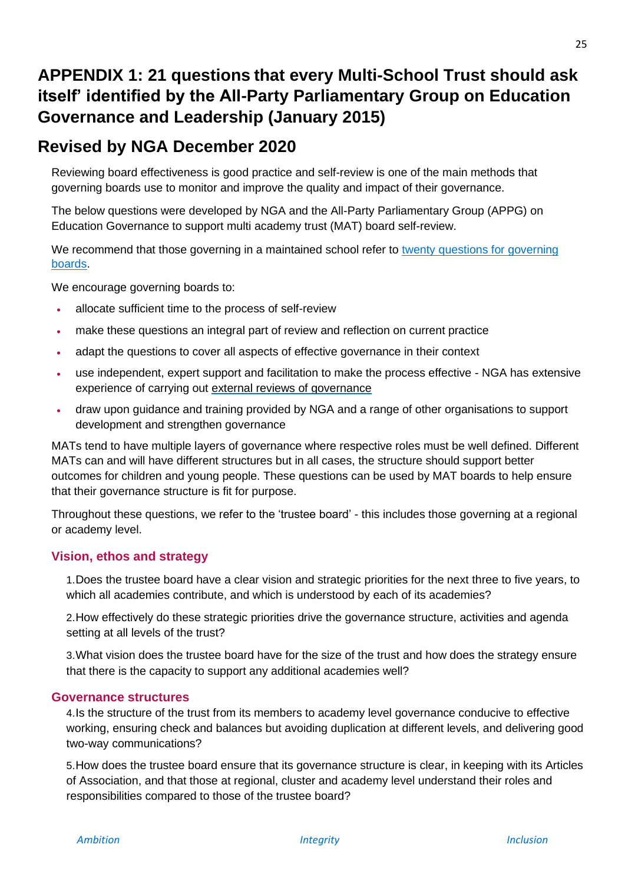# **APPENDIX 1: 21 questions that every Multi-School Trust should ask itself' identified by the All-Party Parliamentary Group on Education Governance and Leadership (January 2015)**

# **Revised by NGA December 2020**

Reviewing board effectiveness is good practice and self-review is one of the main methods that governing boards use to monitor and improve the quality and impact of their governance.

The below questions were developed by NGA and the All-Party Parliamentary Group (APPG) on Education Governance to support multi academy trust (MAT) board self-review.

We recommend that those governing in a maintained school refer to twenty questions for governing [boards.](https://www.nga.org.uk/Knowledge-Centre/Good-governance/Effective-governance/Governing-Board-Self-Review-(1)/Twenty-Questions.aspx) 

We encourage governing boards to:

- allocate sufficient time to the process of self-review
- make these questions an integral part of review and reflection on current practice
- adapt the questions to cover all aspects of effective governance in their context
- use independent, expert support and facilitation to make the process effective [NGA h](https://www.nga.org.uk/Training-and-Development/Consultancy/External-reviews-of-governance.aspx)as extensive experience of carrying out [external reviews of governance](https://www.nga.org.uk/Training-and-Development/Consultancy/External-reviews-of-governance.aspx)
- draw upon guidance and training provided by NGA and a range of other organisations to support development and strengthen governance

MATs tend to have multiple layers of governance where respective roles must be well defined. Different MATs can and will have different structures but in all cases, the structure should support better outcomes for children and young people. These questions can be used by MAT boards to help ensure that their governance structure is fit for purpose.

Throughout these questions, we refer to the 'trustee board' - this includes those governing at a regional or academy level.

#### **Vision, ethos and strategy**

1.Does the trustee board have a clear vision and strategic priorities for the next three to five years, to which all academies contribute, and which is understood by each of its academies?

2.How effectively do these strategic priorities drive the governance structure, activities and agenda setting at all levels of the trust?

3.What vision does the trustee board have for the size of the trust and how does the strategy ensure that there is the capacity to support any additional academies well?

#### **Governance structures**

4.Is the structure of the trust from its members to academy level governance conducive to effective working, ensuring check and balances but avoiding duplication at different levels, and delivering good two-way communications?

5.How does the trustee board ensure that its governance structure is clear, in keeping with its Articles of Association, and that those at regional, cluster and academy level understand their roles and responsibilities compared to those of the trustee board?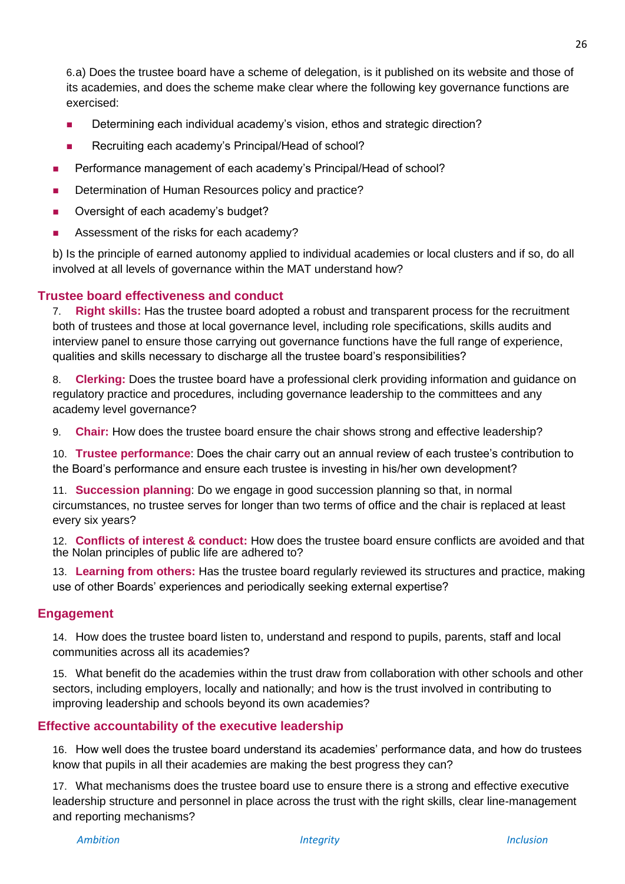6.a) Does the trustee board have a scheme of delegation, is it published on its website and those of its academies, and does the scheme make clear where the following key governance functions are exercised:

- Determining each individual academy's vision, ethos and strategic direction?
- Recruiting each academy's Principal/Head of school?
- Performance management of each academy's Principal/Head of school?
- Determination of Human Resources policy and practice?
- Oversight of each academy's budget?
- Assessment of the risks for each academy?

b) Is the principle of earned autonomy applied to individual academies or local clusters and if so, do all involved at all levels of governance within the MAT understand how?

#### **Trustee board effectiveness and conduct**

7. **Right skills:** Has the trustee board adopted a robust and transparent process for the recruitment both of trustees and those at local governance level, including role specifications, skills audits and interview panel to ensure those carrying out governance functions have the full range of experience, qualities and skills necessary to discharge all the trustee board's responsibilities?

8. **Clerking:** Does the trustee board have a professional clerk providing information and guidance on regulatory practice and procedures, including governance leadership to the committees and any academy level governance?

9. **Chair:** How does the trustee board ensure the chair shows strong and effective leadership?

10. **Trustee performance**: Does the chair carry out an annual review of each trustee's contribution to the Board's performance and ensure each trustee is investing in his/her own development?

11. **Succession planning**: Do we engage in good succession planning so that, in normal circumstances, no trustee serves for longer than two terms of office and the chair is replaced at least every six years?

12. **Conflicts of interest & conduct:** How does the trustee board ensure conflicts are avoided and that the Nolan principles of public life are adhered to?

13. **Learning from others:** Has the trustee board regularly reviewed its structures and practice, making use of other Boards' experiences and periodically seeking external expertise?

#### **Engagement**

14. How does the trustee board listen to, understand and respond to pupils, parents, staff and local communities across all its academies?

15. What benefit do the academies within the trust draw from collaboration with other schools and other sectors, including employers, locally and nationally; and how is the trust involved in contributing to improving leadership and schools beyond its own academies?

# **Effective accountability of the executive leadership**

16. How well does the trustee board understand its academies' performance data, and how do trustees know that pupils in all their academies are making the best progress they can?

17. What mechanisms does the trustee board use to ensure there is a strong and effective executive leadership structure and personnel in place across the trust with the right skills, clear line-management and reporting mechanisms?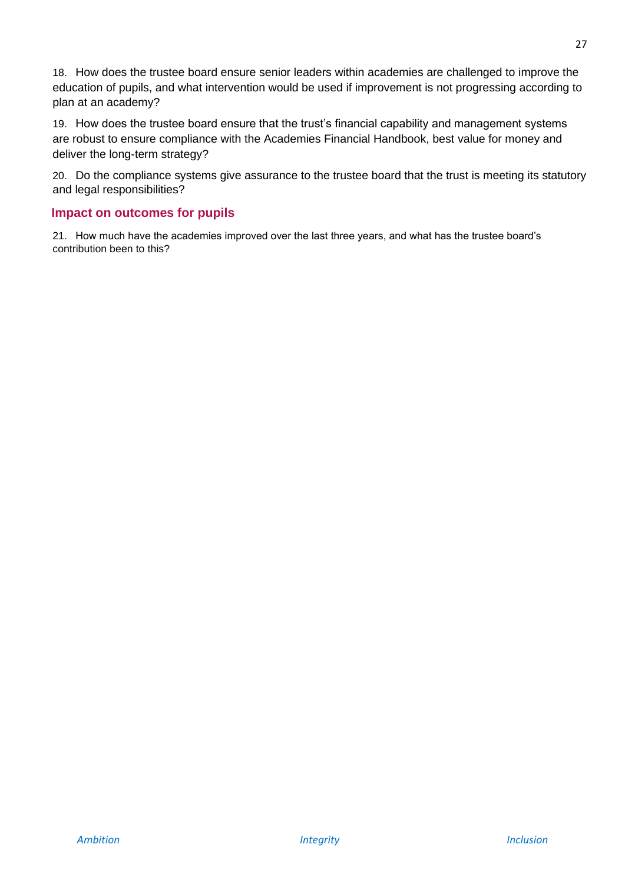18. How does the trustee board ensure senior leaders within academies are challenged to improve the education of pupils, and what intervention would be used if improvement is not progressing according to plan at an academy?

19. How does the trustee board ensure that the trust's financial capability and management systems are robust to ensure compliance with the Academies Financial Handbook, best value for money and deliver the long-term strategy?

20. Do the compliance systems give assurance to the trustee board that the trust is meeting its statutory and legal responsibilities?

#### **Impact on outcomes for pupils**

<span id="page-26-0"></span>21. How much have the academies improved over the last three years, and what has the trustee board's contribution been to this?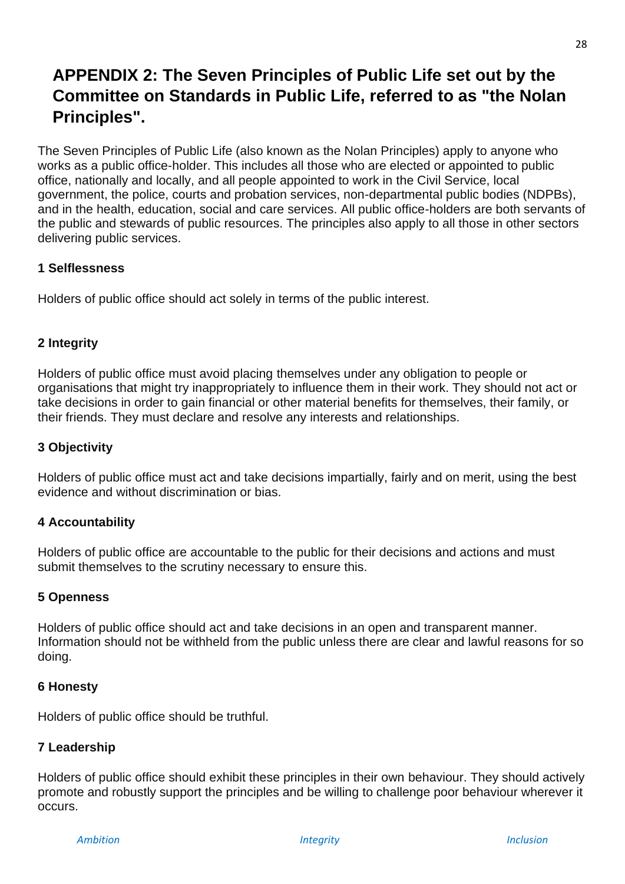# **APPENDIX 2: The Seven Principles of Public Life set out by the Committee on Standards in Public Life, referred to as "the Nolan Principles".**

The Seven Principles of Public Life (also known as the Nolan Principles) apply to anyone who works as a public office-holder. This includes all those who are elected or appointed to public office, nationally and locally, and all people appointed to work in the Civil Service, local government, the police, courts and probation services, non-departmental public bodies (NDPBs), and in the health, education, social and care services. All public office-holders are both servants of the public and stewards of public resources. The principles also apply to all those in other sectors delivering public services.

# **1 Selflessness**

Holders of public office should act solely in terms of the public interest.

#### **2 Integrity**

Holders of public office must avoid placing themselves under any obligation to people or organisations that might try inappropriately to influence them in their work. They should not act or take decisions in order to gain financial or other material benefits for themselves, their family, or their friends. They must declare and resolve any interests and relationships.

#### **3 Objectivity**

Holders of public office must act and take decisions impartially, fairly and on merit, using the best evidence and without discrimination or bias.

#### **4 Accountability**

Holders of public office are accountable to the public for their decisions and actions and must submit themselves to the scrutiny necessary to ensure this.

#### **5 Openness**

Holders of public office should act and take decisions in an open and transparent manner. Information should not be withheld from the public unless there are clear and lawful reasons for so doing.

#### **6 Honesty**

Holders of public office should be truthful.

#### **7 Leadership**

Holders of public office should exhibit these principles in their own behaviour. They should actively promote and robustly support the principles and be willing to challenge poor behaviour wherever it occurs.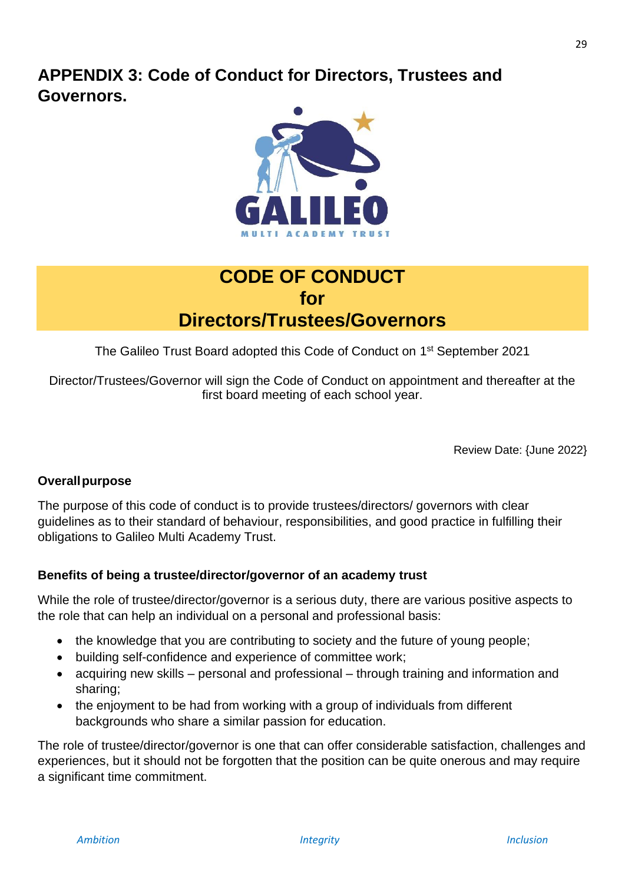# <span id="page-28-0"></span>**APPENDIX 3: Code of Conduct for Directors, Trustees and Governors.**



# **CODE OF CONDUCT for Directors/Trustees/Governors**

The Galileo Trust Board adopted this Code of Conduct on 1<sup>st</sup> September 2021

Director/Trustees/Governor will sign the Code of Conduct on appointment and thereafter at the first board meeting of each school year.

Review Date: {June 2022}

# **Overallpurpose**

The purpose of this code of conduct is to provide trustees/directors/ governors with clear guidelines as to their standard of behaviour, responsibilities, and good practice in fulfilling their obligations to Galileo Multi Academy Trust.

#### **Benefits of being a trustee/director/governor of an academy trust**

While the role of trustee/director/governor is a serious duty, there are various positive aspects to the role that can help an individual on a personal and professional basis:

- the knowledge that you are contributing to society and the future of young people;
- building self-confidence and experience of committee work;
- acquiring new skills personal and professional through training and information and sharing;
- the enjoyment to be had from working with a group of individuals from different backgrounds who share a similar passion for education.

The role of trustee/director/governor is one that can offer considerable satisfaction, challenges and experiences, but it should not be forgotten that the position can be quite onerous and may require a significant time commitment.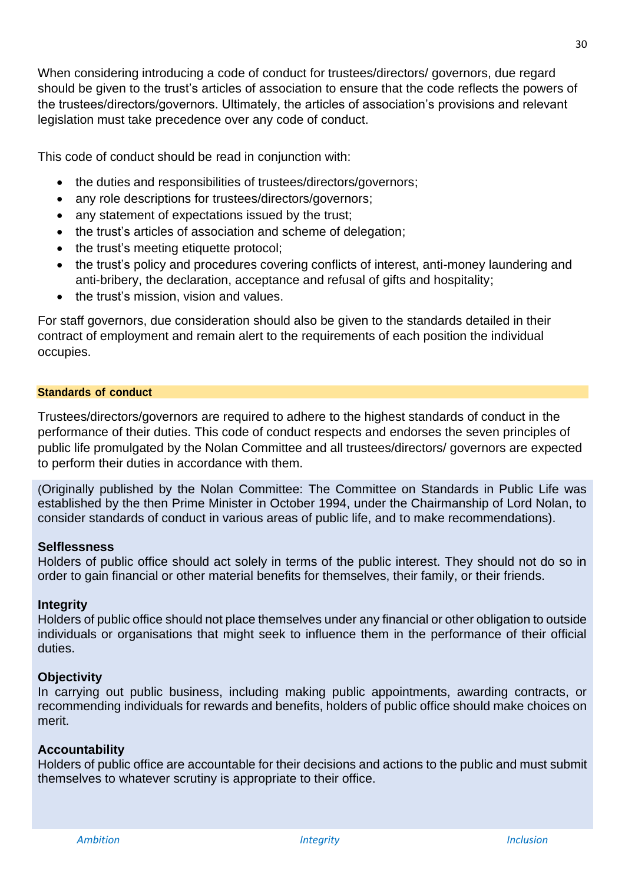When considering introducing a code of conduct for trustees/directors/ governors, due regard should be given to the trust's articles of association to ensure that the code reflects the powers of the trustees/directors/governors. Ultimately, the articles of association's provisions and relevant legislation must take precedence over any code of conduct.

This code of conduct should be read in conjunction with:

- the duties and responsibilities of trustees/directors/governors;
- any role descriptions for trustees/directors/governors;
- any statement of expectations issued by the trust;
- the trust's articles of association and scheme of delegation;
- the trust's meeting etiquette protocol;
- the trust's policy and procedures covering conflicts of interest, anti-money laundering and anti-bribery, the declaration, acceptance and refusal of gifts and hospitality;
- the trust's mission, vision and values.

For staff governors, due consideration should also be given to the standards detailed in their contract of employment and remain alert to the requirements of each position the individual occupies.

#### **Standards of conduct**

Trustees/directors/governors are required to adhere to the highest standards of conduct in the performance of their duties. This code of conduct respects and endorses the seven principles of public life promulgated by the Nolan Committee and all trustees/directors/ governors are expected to perform their duties in accordance with them.

(Originally published by the Nolan Committee: The Committee on Standards in Public Life was established by the then Prime Minister in October 1994, under the Chairmanship of Lord Nolan, to consider standards of conduct in various areas of public life, and to make recommendations).

# **Selflessness**

Holders of public office should act solely in terms of the public interest. They should not do so in order to gain financial or other material benefits for themselves, their family, or their friends.

# **Integrity**

Holders of public office should not place themselves under any financial or other obligation to outside individuals or organisations that might seek to influence them in the performance of their official duties.

# **Objectivity**

In carrying out public business, including making public appointments, awarding contracts, or recommending individuals for rewards and benefits, holders of public office should make choices on merit.

# **Accountability**

Holders of public office are accountable for their decisions and actions to the public and must submit themselves to whatever scrutiny is appropriate to their office.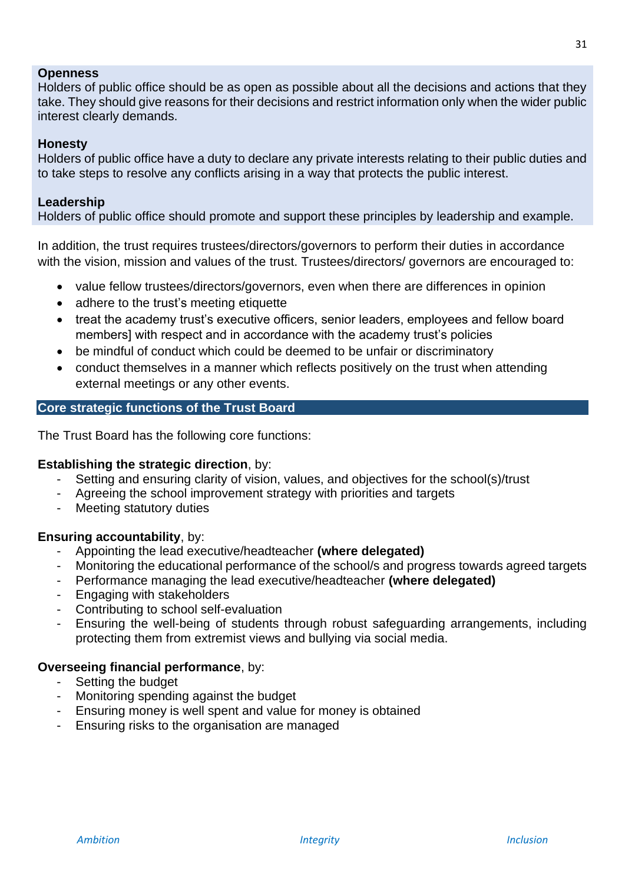#### **Openness**

Holders of public office should be as open as possible about all the decisions and actions that they take. They should give reasons for their decisions and restrict information only when the wider public interest clearly demands.

#### **Honesty**

Holders of public office have a duty to declare any private interests relating to their public duties and to take steps to resolve any conflicts arising in a way that protects the public interest.

#### **Leadership**

Holders of public office should promote and support these principles by leadership and example.

In addition, the trust requires trustees/directors/governors to perform their duties in accordance with the vision, mission and values of the trust. Trustees/directors/ governors are encouraged to:

- value fellow trustees/directors/governors, even when there are differences in opinion
- adhere to the trust's meeting etiquette
- treat the academy trust's executive officers, senior leaders, employees and fellow board members] with respect and in accordance with the academy trust's policies
- be mindful of conduct which could be deemed to be unfair or discriminatory
- conduct themselves in a manner which reflects positively on the trust when attending external meetings or any other events.

#### **Core strategic functions of the Trust Board**

The Trust Board has the following core functions:

#### **Establishing the strategic direction**, by:

- Setting and ensuring clarity of vision, values, and objectives for the school(s)/trust
- Agreeing the school improvement strategy with priorities and targets
- Meeting statutory duties

#### **Ensuring accountability**, by:

- Appointing the lead executive/headteacher **(where delegated)**
- Monitoring the educational performance of the school/s and progress towards agreed targets
- Performance managing the lead executive/headteacher **(where delegated)**
- Engaging with stakeholders
- Contributing to school self-evaluation
- Ensuring the well-being of students through robust safeguarding arrangements, including protecting them from extremist views and bullying via social media.

#### **Overseeing financial performance**, by:

- Setting the budget
- Monitoring spending against the budget
- Ensuring money is well spent and value for money is obtained
- Ensuring risks to the organisation are managed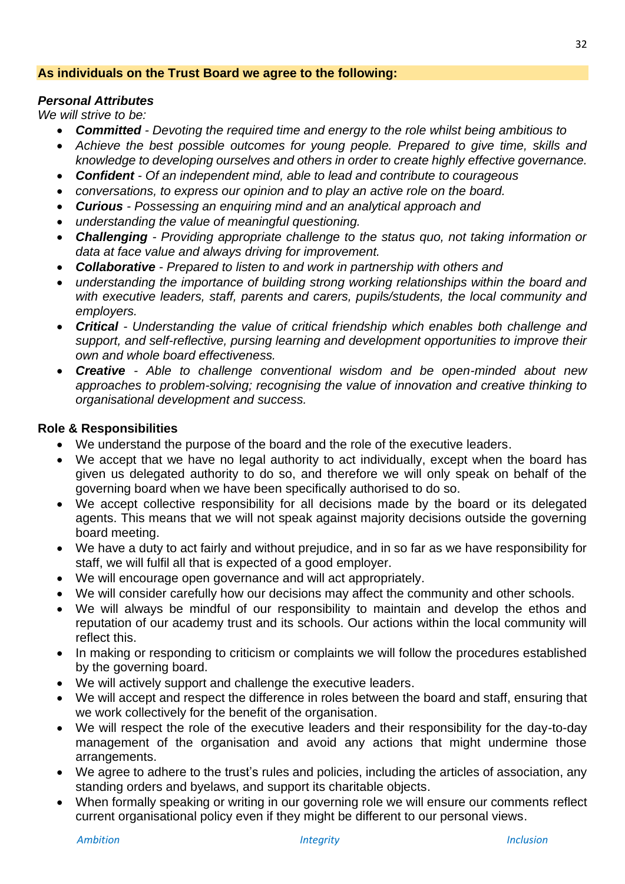#### **As individuals on the Trust Board we agree to the following:**

#### *Personal Attributes*

*We will strive to be:*

- *Committed - Devoting the required time and energy to the role whilst being ambitious to*
- *Achieve the best possible outcomes for young people. Prepared to give time, skills and knowledge to developing ourselves and others in order to create highly effective governance.*
- *Confident - Of an independent mind, able to lead and contribute to courageous*
- *conversations, to express our opinion and to play an active role on the board.*
- *Curious - Possessing an enquiring mind and an analytical approach and*
- *understanding the value of meaningful questioning.*
- *Challenging - Providing appropriate challenge to the status quo, not taking information or data at face value and always driving for improvement.*
- *Collaborative - Prepared to listen to and work in partnership with others and*
- *understanding the importance of building strong working relationships within the board and with executive leaders, staff, parents and carers, pupils/students, the local community and employers.*
- *Critical - Understanding the value of critical friendship which enables both challenge and support, and self-reflective, pursing learning and development opportunities to improve their own and whole board effectiveness.*
- *Creative - Able to challenge conventional wisdom and be open-minded about new approaches to problem-solving; recognising the value of innovation and creative thinking to organisational development and success.*

#### **Role & Responsibilities**

- We understand the purpose of the board and the role of the executive leaders.
- We accept that we have no legal authority to act individually, except when the board has given us delegated authority to do so, and therefore we will only speak on behalf of the governing board when we have been specifically authorised to do so.
- We accept collective responsibility for all decisions made by the board or its delegated agents. This means that we will not speak against majority decisions outside the governing board meeting.
- We have a duty to act fairly and without prejudice, and in so far as we have responsibility for staff, we will fulfil all that is expected of a good employer.
- We will encourage open governance and will act appropriately.
- We will consider carefully how our decisions may affect the community and other schools.
- We will always be mindful of our responsibility to maintain and develop the ethos and reputation of our academy trust and its schools. Our actions within the local community will reflect this.
- In making or responding to criticism or complaints we will follow the procedures established by the governing board.
- We will actively support and challenge the executive leaders.
- We will accept and respect the difference in roles between the board and staff, ensuring that we work collectively for the benefit of the organisation.
- We will respect the role of the executive leaders and their responsibility for the day-to-day management of the organisation and avoid any actions that might undermine those arrangements.
- We agree to adhere to the trust's rules and policies, including the articles of association, any standing orders and byelaws, and support its charitable objects.
- When formally speaking or writing in our governing role we will ensure our comments reflect current organisational policy even if they might be different to our personal views.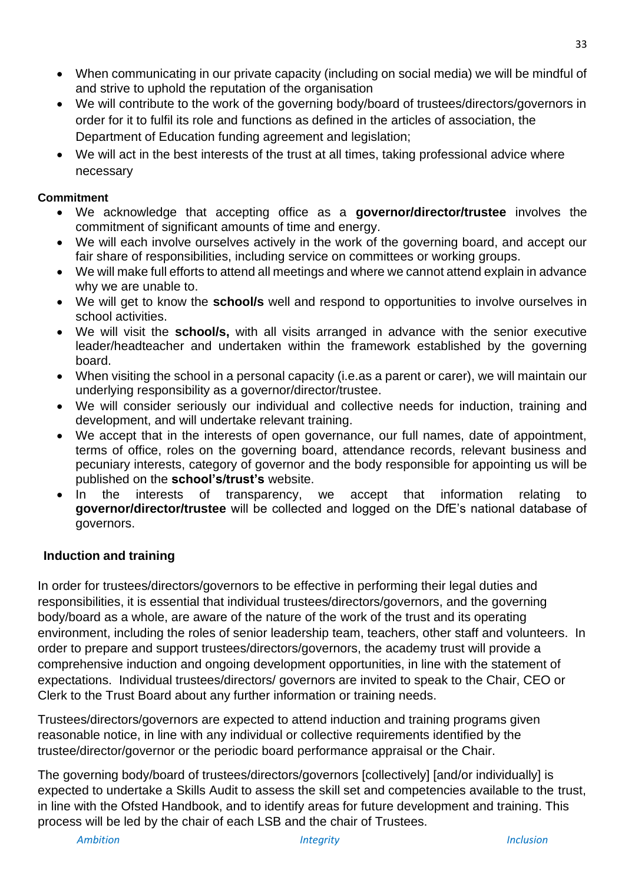- When communicating in our private capacity (including on social media) we will be mindful of and strive to uphold the reputation of the organisation
- We will contribute to the work of the governing body/board of trustees/directors/governors in order for it to fulfil its role and functions as defined in the articles of association, the Department of Education funding agreement and legislation;
- We will act in the best interests of the trust at all times, taking professional advice where necessary

#### **Commitment**

- We acknowledge that accepting office as a **governor/director/trustee** involves the commitment of significant amounts of time and energy.
- We will each involve ourselves actively in the work of the governing board, and accept our fair share of responsibilities, including service on committees or working groups.
- We will make full efforts to attend all meetings and where we cannot attend explain in advance why we are unable to.
- We will get to know the **school/s** well and respond to opportunities to involve ourselves in school activities.
- We will visit the **school/s,** with all visits arranged in advance with the senior executive leader/headteacher and undertaken within the framework established by the governing board.
- When visiting the school in a personal capacity (i.e.as a parent or carer), we will maintain our underlying responsibility as a governor/director/trustee.
- We will consider seriously our individual and collective needs for induction, training and development, and will undertake relevant training.
- We accept that in the interests of open governance, our full names, date of appointment, terms of office, roles on the governing board, attendance records, relevant business and pecuniary interests, category of governor and the body responsible for appointing us will be published on the **school's/trust's** website.
- In the interests of transparency, we accept that information relating to **governor/director/trustee** will be collected and logged on the DfE's national database of governors.

#### **Induction and training**

In order for trustees/directors/governors to be effective in performing their legal duties and responsibilities, it is essential that individual trustees/directors/governors, and the governing body/board as a whole, are aware of the nature of the work of the trust and its operating environment, including the roles of senior leadership team, teachers, other staff and volunteers. In order to prepare and support trustees/directors/governors, the academy trust will provide a comprehensive induction and ongoing development opportunities, in line with the statement of expectations. Individual trustees/directors/ governors are invited to speak to the Chair, CEO or Clerk to the Trust Board about any further information or training needs.

Trustees/directors/governors are expected to attend induction and training programs given reasonable notice, in line with any individual or collective requirements identified by the trustee/director/governor or the periodic board performance appraisal or the Chair.

The governing body/board of trustees/directors/governors [collectively] [and/or individually] is expected to undertake a Skills Audit to assess the skill set and competencies available to the trust, in line with the Ofsted Handbook, and to identify areas for future development and training. This process will be led by the chair of each LSB and the chair of Trustees.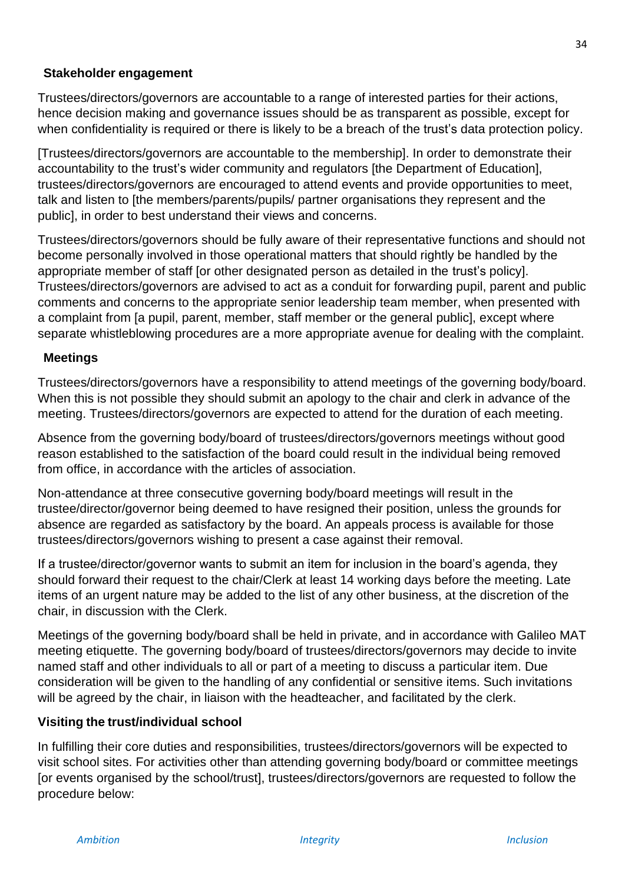#### **Stakeholder engagement**

Trustees/directors/governors are accountable to a range of interested parties for their actions, hence decision making and governance issues should be as transparent as possible, except for when confidentiality is required or there is likely to be a breach of the trust's data protection policy.

[Trustees/directors/governors are accountable to the membership]. In order to demonstrate their accountability to the trust's wider community and regulators [the Department of Education], trustees/directors/governors are encouraged to attend events and provide opportunities to meet, talk and listen to [the members/parents/pupils/ partner organisations they represent and the public], in order to best understand their views and concerns.

Trustees/directors/governors should be fully aware of their representative functions and should not become personally involved in those operational matters that should rightly be handled by the appropriate member of staff [or other designated person as detailed in the trust's policy]. Trustees/directors/governors are advised to act as a conduit for forwarding pupil, parent and public comments and concerns to the appropriate senior leadership team member, when presented with a complaint from [a pupil, parent, member, staff member or the general public], except where separate whistleblowing procedures are a more appropriate avenue for dealing with the complaint.

#### **Meetings**

Trustees/directors/governors have a responsibility to attend meetings of the governing body/board. When this is not possible they should submit an apology to the chair and clerk in advance of the meeting. Trustees/directors/governors are expected to attend for the duration of each meeting.

Absence from the governing body/board of trustees/directors/governors meetings without good reason established to the satisfaction of the board could result in the individual being removed from office, in accordance with the articles of association.

Non-attendance at three consecutive governing body/board meetings will result in the trustee/director/governor being deemed to have resigned their position, unless the grounds for absence are regarded as satisfactory by the board. An appeals process is available for those trustees/directors/governors wishing to present a case against their removal.

If a trustee/director/governor wants to submit an item for inclusion in the board's agenda, they should forward their request to the chair/Clerk at least 14 working days before the meeting. Late items of an urgent nature may be added to the list of any other business, at the discretion of the chair, in discussion with the Clerk.

Meetings of the governing body/board shall be held in private, and in accordance with Galileo MAT meeting etiquette. The governing body/board of trustees/directors/governors may decide to invite named staff and other individuals to all or part of a meeting to discuss a particular item. Due consideration will be given to the handling of any confidential or sensitive items. Such invitations will be agreed by the chair, in liaison with the headteacher, and facilitated by the clerk.

#### **Visiting the trust/individual school**

In fulfilling their core duties and responsibilities, trustees/directors/governors will be expected to visit school sites. For activities other than attending governing body/board or committee meetings [or events organised by the school/trust], trustees/directors/governors are requested to follow the procedure below: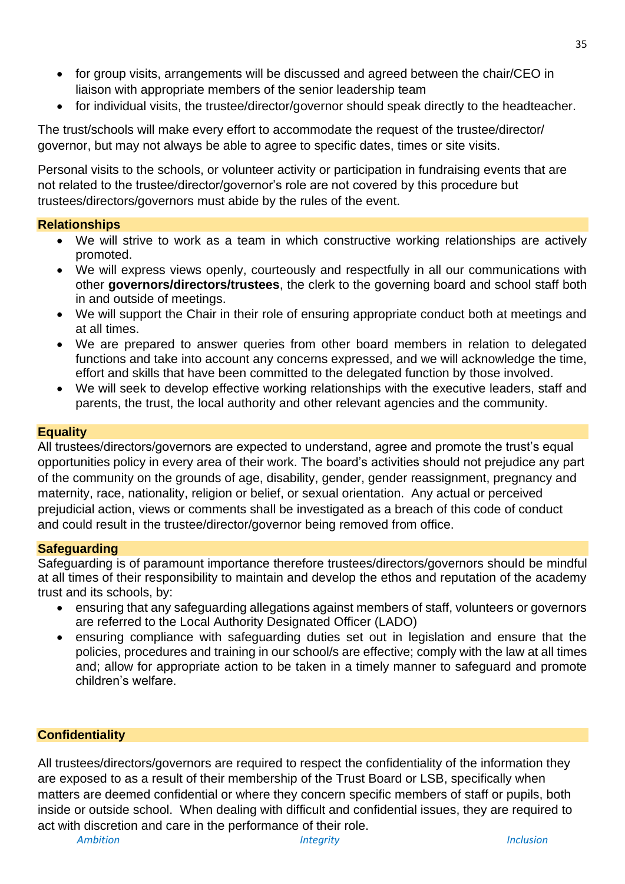- for group visits, arrangements will be discussed and agreed between the chair/CEO in liaison with appropriate members of the senior leadership team
- for individual visits, the trustee/director/governor should speak directly to the headteacher.

The trust/schools will make every effort to accommodate the request of the trustee/director/ governor, but may not always be able to agree to specific dates, times or site visits.

Personal visits to the schools, or volunteer activity or participation in fundraising events that are not related to the trustee/director/governor's role are not covered by this procedure but trustees/directors/governors must abide by the rules of the event.

# **Relationships**

- We will strive to work as a team in which constructive working relationships are actively promoted.
- We will express views openly, courteously and respectfully in all our communications with other **governors/directors/trustees**, the clerk to the governing board and school staff both in and outside of meetings.
- We will support the Chair in their role of ensuring appropriate conduct both at meetings and at all times.
- We are prepared to answer queries from other board members in relation to delegated functions and take into account any concerns expressed, and we will acknowledge the time, effort and skills that have been committed to the delegated function by those involved.
- We will seek to develop effective working relationships with the executive leaders, staff and parents, the trust, the local authority and other relevant agencies and the community.

# **Equality**

All trustees/directors/governors are expected to understand, agree and promote the trust's equal opportunities policy in every area of their work. The board's activities should not prejudice any part of the community on the grounds of age, disability, gender, gender reassignment, pregnancy and maternity, race, nationality, religion or belief, or sexual orientation. Any actual or perceived prejudicial action, views or comments shall be investigated as a breach of this code of conduct and could result in the trustee/director/governor being removed from office.

# **Safeguarding**

Safeguarding is of paramount importance therefore trustees/directors/governors should be mindful at all times of their responsibility to maintain and develop the ethos and reputation of the academy trust and its schools, by:

- ensuring that any safeguarding allegations against members of staff, volunteers or governors are referred to the Local Authority Designated Officer (LADO)
- ensuring compliance with safeguarding duties set out in legislation and ensure that the policies, procedures and training in our school/s are effective; comply with the law at all times and; allow for appropriate action to be taken in a timely manner to safeguard and promote children's welfare.

# **Confidentiality**

All trustees/directors/governors are required to respect the confidentiality of the information they are exposed to as a result of their membership of the Trust Board or LSB, specifically when matters are deemed confidential or where they concern specific members of staff or pupils, both inside or outside school. When dealing with difficult and confidential issues, they are required to act with discretion and care in the performance of their role.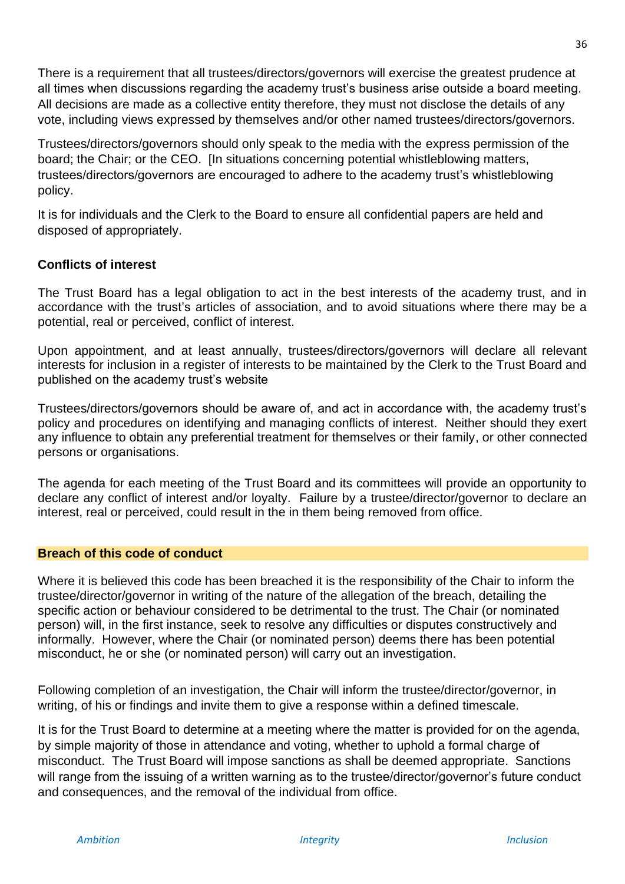There is a requirement that all trustees/directors/governors will exercise the greatest prudence at all times when discussions regarding the academy trust's business arise outside a board meeting. All decisions are made as a collective entity therefore, they must not disclose the details of any vote, including views expressed by themselves and/or other named trustees/directors/governors.

Trustees/directors/governors should only speak to the media with the express permission of the board; the Chair; or the CEO. [In situations concerning potential whistleblowing matters, trustees/directors/governors are encouraged to adhere to the academy trust's whistleblowing policy.

It is for individuals and the Clerk to the Board to ensure all confidential papers are held and disposed of appropriately.

#### **Conflicts of interest**

The Trust Board has a legal obligation to act in the best interests of the academy trust, and in accordance with the trust's articles of association, and to avoid situations where there may be a potential, real or perceived, conflict of interest.

Upon appointment, and at least annually, trustees/directors/governors will declare all relevant interests for inclusion in a register of interests to be maintained by the Clerk to the Trust Board and published on the academy trust's website

Trustees/directors/governors should be aware of, and act in accordance with, the academy trust's policy and procedures on identifying and managing conflicts of interest. Neither should they exert any influence to obtain any preferential treatment for themselves or their family, or other connected persons or organisations.

The agenda for each meeting of the Trust Board and its committees will provide an opportunity to declare any conflict of interest and/or loyalty. Failure by a trustee/director/governor to declare an interest, real or perceived, could result in the in them being removed from office.

#### **Breach of this code of conduct**

Where it is believed this code has been breached it is the responsibility of the Chair to inform the trustee/director/governor in writing of the nature of the allegation of the breach, detailing the specific action or behaviour considered to be detrimental to the trust. The Chair (or nominated person) will, in the first instance, seek to resolve any difficulties or disputes constructively and informally. However, where the Chair (or nominated person) deems there has been potential misconduct, he or she (or nominated person) will carry out an investigation.

Following completion of an investigation, the Chair will inform the trustee/director/governor, in writing, of his or findings and invite them to give a response within a defined timescale.

It is for the Trust Board to determine at a meeting where the matter is provided for on the agenda, by simple majority of those in attendance and voting, whether to uphold a formal charge of misconduct. The Trust Board will impose sanctions as shall be deemed appropriate. Sanctions will range from the issuing of a written warning as to the trustee/director/governor's future conduct and consequences, and the removal of the individual from office.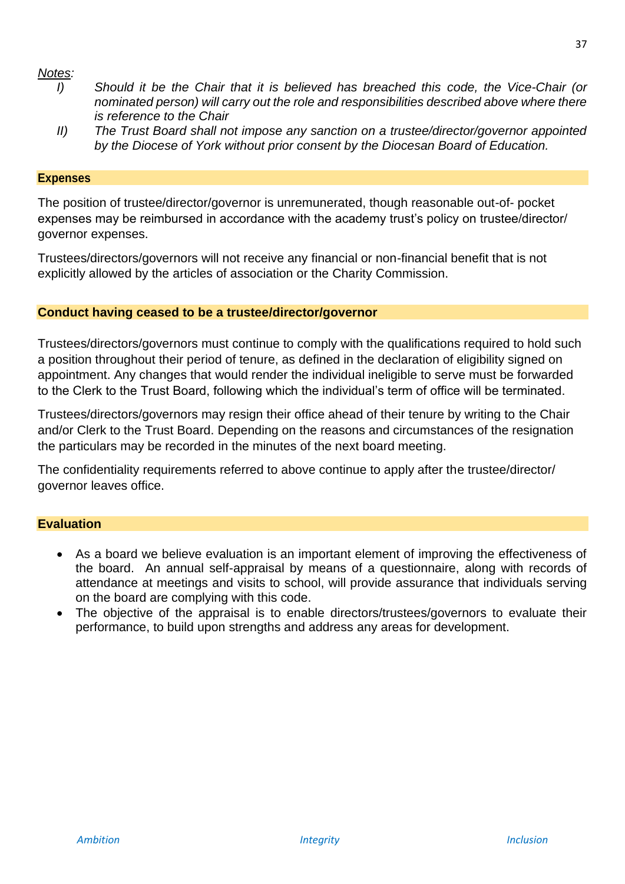#### *Notes:*

- *I) Should it be the Chair that it is believed has breached this code, the Vice-Chair (or nominated person) will carry out the role and responsibilities described above where there is reference to the Chair*
- *II) The Trust Board shall not impose any sanction on a trustee/director/governor appointed by the Diocese of York without prior consent by the Diocesan Board of Education.*

#### **Expenses**

The position of trustee/director/governor is unremunerated, though reasonable out-of- pocket expenses may be reimbursed in accordance with the academy trust's policy on trustee/director/ governor expenses.

Trustees/directors/governors will not receive any financial or non-financial benefit that is not explicitly allowed by the articles of association or the Charity Commission.

#### **Conduct having ceased to be a trustee/director/governor**

Trustees/directors/governors must continue to comply with the qualifications required to hold such a position throughout their period of tenure, as defined in the declaration of eligibility signed on appointment. Any changes that would render the individual ineligible to serve must be forwarded to the Clerk to the Trust Board, following which the individual's term of office will be terminated.

Trustees/directors/governors may resign their office ahead of their tenure by writing to the Chair and/or Clerk to the Trust Board. Depending on the reasons and circumstances of the resignation the particulars may be recorded in the minutes of the next board meeting.

The confidentiality requirements referred to above continue to apply after the trustee/director/ governor leaves office.

#### **Evaluation**

- As a board we believe evaluation is an important element of improving the effectiveness of the board. An annual self-appraisal by means of a questionnaire, along with records of attendance at meetings and visits to school, will provide assurance that individuals serving on the board are complying with this code.
- The objective of the appraisal is to enable directors/trustees/governors to evaluate their performance, to build upon strengths and address any areas for development.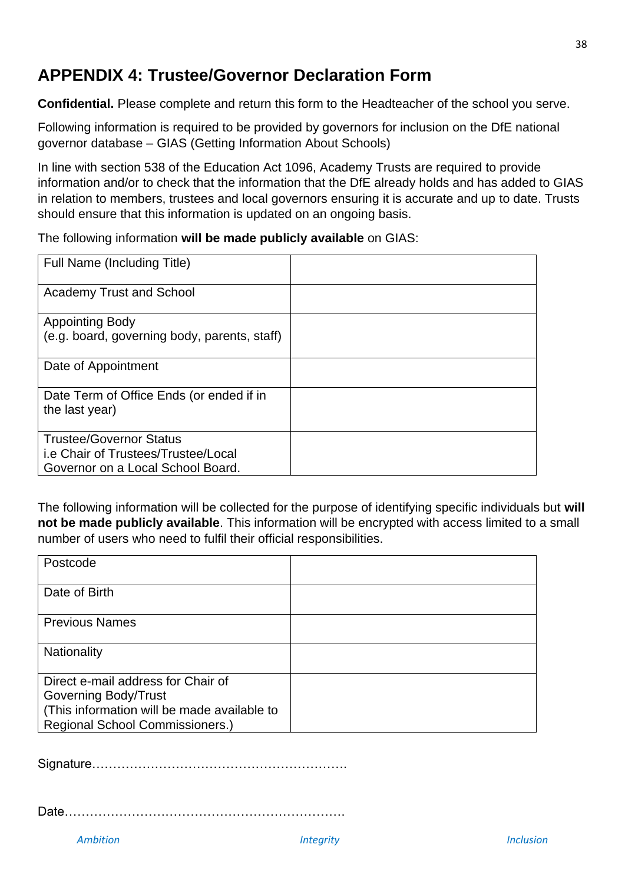# <span id="page-37-0"></span>**APPENDIX 4: Trustee/Governor Declaration Form**

**Confidential.** Please complete and return this form to the Headteacher of the school you serve.

Following information is required to be provided by governors for inclusion on the DfE national governor database – GIAS (Getting Information About Schools)

In line with section 538 of the Education Act 1096, Academy Trusts are required to provide information and/or to check that the information that the DfE already holds and has added to GIAS in relation to members, trustees and local governors ensuring it is accurate and up to date. Trusts should ensure that this information is updated on an ongoing basis.

The following information **will be made publicly available** on GIAS:

| Full Name (Including Title)                  |  |
|----------------------------------------------|--|
| <b>Academy Trust and School</b>              |  |
| <b>Appointing Body</b>                       |  |
| (e.g. board, governing body, parents, staff) |  |
| Date of Appointment                          |  |
| Date Term of Office Ends (or ended if in     |  |
| the last year)                               |  |
| <b>Trustee/Governor Status</b>               |  |
| i.e Chair of Trustees/Trustee/Local          |  |
| Governor on a Local School Board.            |  |

The following information will be collected for the purpose of identifying specific individuals but **will not be made publicly available**. This information will be encrypted with access limited to a small number of users who need to fulfil their official responsibilities.

| Postcode                                    |  |
|---------------------------------------------|--|
|                                             |  |
| Date of Birth                               |  |
|                                             |  |
| <b>Previous Names</b>                       |  |
|                                             |  |
| Nationality                                 |  |
|                                             |  |
| Direct e-mail address for Chair of          |  |
| Governing Body/Trust                        |  |
| (This information will be made available to |  |
| <b>Regional School Commissioners.)</b>      |  |

Signature…………………………………………………….

Date………………………………………………………….

38